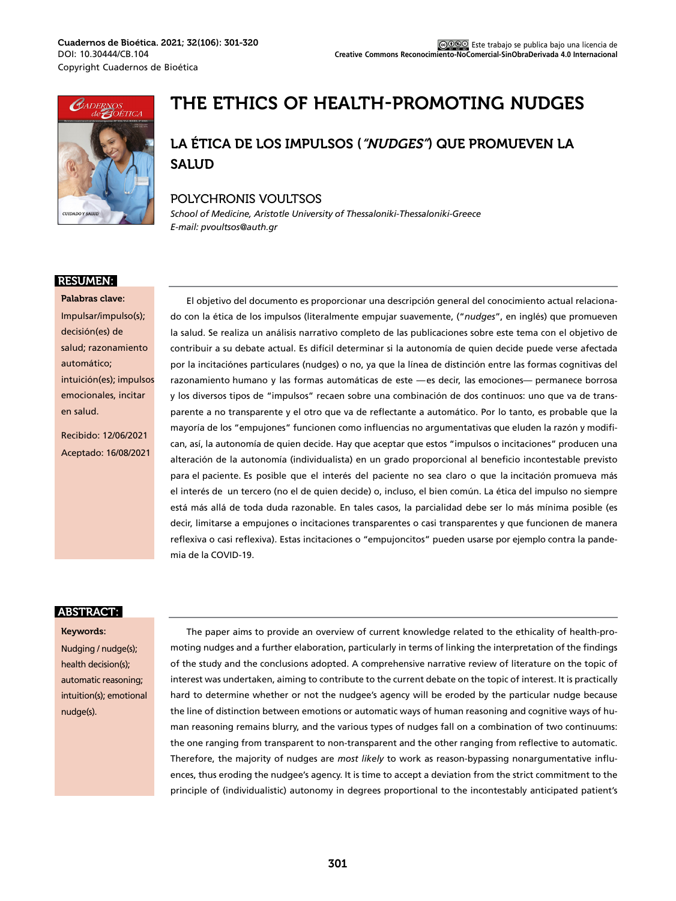

# THE ETHICS OF HEALTH-PROMOTING NUDGES

# LA ÉTICA DE LOS IMPULSOS ("NUDGES") QUE PROMUEVEN LA SALUD

### POLYCHRONIS VOULTSOS

*School of Medicine, Aristotle University of Thessaloniki-Thessaloniki-Greece E-mail: pvoultsos@auth.gr*

### RESUMEN:

Palabras clave: Impulsar/impulso(s); decisión(es) de salud; razonamiento automático; intuición(es); impulsos emocionales, incitar en salud.

Recibido: 12/06/2021 Aceptado: 16/08/2021

El objetivo del documento es proporcionar una descripción general del conocimiento actual relacionado con la ética de los impulsos (literalmente empujar suavemente, ("*nudges*", en inglés) que promueven la salud. Se realiza un análisis narrativo completo de las publicaciones sobre este tema con el objetivo de contribuir a su debate actual. Es difícil determinar si la autonomía de quien decide puede verse afectada por la incitaciónes particulares (nudges) o no, ya que la línea de distinción entre las formas cognitivas del razonamiento humano y las formas automáticas de este —es decir, las emociones— permanece borrosa y los diversos tipos de "impulsos" recaen sobre una combinación de dos continuos: uno que va de transparente a no transparente y el otro que va de reflectante a automático. Por lo tanto, es probable que la mayoría de los "empujones" funcionen como influencias no argumentativas que eluden la razón y modifican, así, la autonomía de quien decide. Hay que aceptar que estos "impulsos o incitaciones" producen una alteración de la autonomía (individualista) en un grado proporcional al beneficio incontestable previsto para el paciente. Es posible que el interés del paciente no sea claro o que la incitación promueva más el interés de un tercero (no el de quien decide) o, incluso, el bien común. La ética del impulso no siempre está más allá de toda duda razonable. En tales casos, la parcialidad debe ser lo más mínima posible (es decir, limitarse a empujones o incitaciones transparentes o casi transparentes y que funcionen de manera reflexiva o casi reflexiva). Estas incitaciones o "empujoncitos" pueden usarse por ejemplo contra la pandemia de la COVID-19.

### ABSTRACT:

#### Keywords:

Nudging / nudge(s); health decision(s); automatic reasoning; intuition(s); emotional nudge(s).

The paper aims to provide an overview of current knowledge related to the ethicality of health-promoting nudges and a further elaboration, particularly in terms of linking the interpretation of the findings of the study and the conclusions adopted. A comprehensive narrative review of literature on the topic of interest was undertaken, aiming to contribute to the current debate on the topic of interest. It is practically hard to determine whether or not the nudgee's agency will be eroded by the particular nudge because the line of distinction between emotions or automatic ways of human reasoning and cognitive ways of human reasoning remains blurry, and the various types of nudges fall on a combination of two continuums: the one ranging from transparent to non-transparent and the other ranging from reflective to automatic. Therefore, the majority of nudges are *most likely* to work as reason-bypassing nonargumentative influences, thus eroding the nudgee's agency. It is time to accept a deviation from the strict commitment to the principle of (individualistic) autonomy in degrees proportional to the incontestably anticipated patient's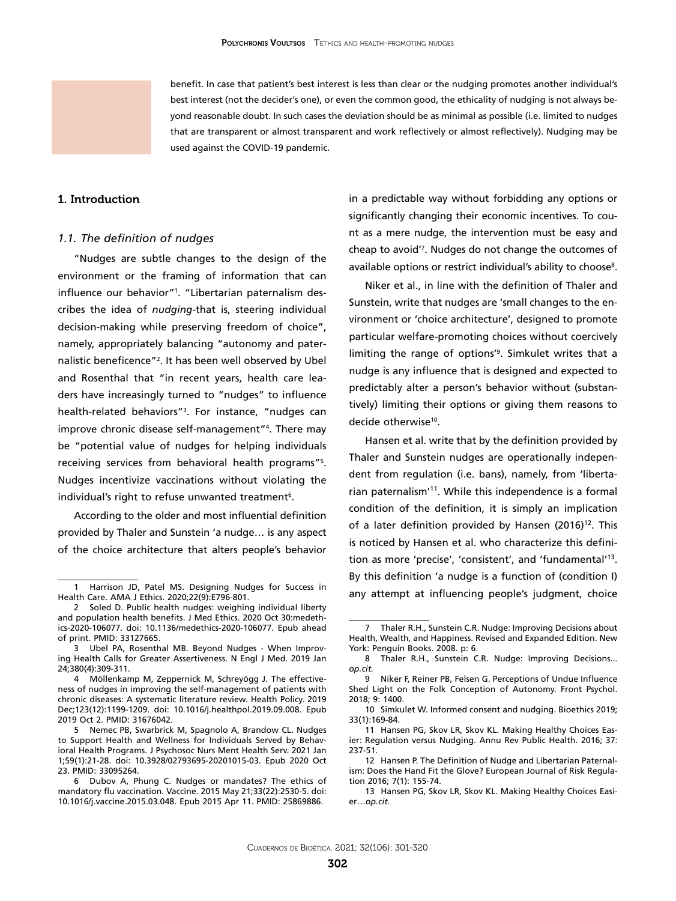benefit. In case that patient's best interest is less than clear or the nudging promotes another individual's best interest (not the decider's one), or even the common good, the ethicality of nudging is not always beyond reasonable doubt. In such cases the deviation should be as minimal as possible (i.e. limited to nudges that are transparent or almost transparent and work reflectively or almost reflectively). Nudging may be used against the COVID-19 pandemic.

### 1. Introduction

#### *1.1. The definition of nudges*

"Nudges are subtle changes to the design of the environment or the framing of information that can influence our behavior"1 . "Libertarian paternalism describes the idea of *nudging*-that is, steering individual decision-making while preserving freedom of choice", namely, appropriately balancing "autonomy and paternalistic beneficence"2 . It has been well observed by Ubel and Rosenthal that "in recent years, health care leaders have increasingly turned to "nudges" to influence health-related behaviors"3 . For instance, "nudges can improve chronic disease self-management"4 . There may be "potential value of nudges for helping individuals receiving services from behavioral health programs"5 . Nudges incentivize vaccinations without violating the individual's right to refuse unwanted treatment<sup>6</sup>.

According to the older and most influential definition provided by Thaler and Sunstein 'a nudge… is any aspect of the choice architecture that alters people's behavior

in a predictable way without forbidding any options or significantly changing their economic incentives. To count as a mere nudge, the intervention must be easy and cheap to avoid'7 . Nudges do not change the outcomes of available options or restrict individual's ability to choose<sup>8</sup>.

Niker et al., in line with the definition of Thaler and Sunstein, write that nudges are 'small changes to the environment or 'choice architecture', designed to promote particular welfare-promoting choices without coercively limiting the range of options'9 . Simkulet writes that a nudge is any influence that is designed and expected to predictably alter a person's behavior without (substantively) limiting their options or giving them reasons to decide otherwise<sup>10</sup>.

Hansen et al. write that by the definition provided by Thaler and Sunstein nudges are operationally independent from regulation (i.e. bans), namely, from 'libertarian paternalism'11. While this independence is a formal condition of the definition, it is simply an implication of a later definition provided by Hansen  $(2016)^{12}$ . This is noticed by Hansen et al. who characterize this definition as more 'precise', 'consistent', and 'fundamental'13. By this definition 'a nudge is a function of (condition I) any attempt at influencing people's judgment, choice

Harrison JD, Patel MS. Designing Nudges for Success in Health Care. AMA J Ethics. 2020;22(9):E796-801.

<sup>2</sup> Soled D. Public health nudges: weighing individual liberty and population health benefits. J Med Ethics. 2020 Oct 30:medethics-2020-106077. doi: 10.1136/medethics-2020-106077. Epub ahead of print. PMID: 33127665.

<sup>3</sup> Ubel PA, Rosenthal MB. Beyond Nudges - When Improving Health Calls for Greater Assertiveness. N Engl J Med. 2019 Jan 24;380(4):309-311.

<sup>4</sup> Möllenkamp M, Zeppernick M, Schreyögg J. The effectiveness of nudges in improving the self-management of patients with chronic diseases: A systematic literature review. Health Policy. 2019 Dec;123(12):1199-1209. doi: 10.1016/j.healthpol.2019.09.008. Epub 2019 Oct 2. PMID: 31676042.

<sup>5</sup> Nemec PB, Swarbrick M, Spagnolo A, Brandow CL. Nudges to Support Health and Wellness for Individuals Served by Behavioral Health Programs. J Psychosoc Nurs Ment Health Serv. 2021 Jan 1;59(1):21-28. doi: 10.3928/02793695-20201015-03. Epub 2020 Oct 23. PMID: 33095264.

<sup>6</sup> Dubov A, Phung C. Nudges or mandates? The ethics of mandatory flu vaccination. Vaccine. 2015 May 21;33(22):2530-5. doi: 10.1016/j.vaccine.2015.03.048. Epub 2015 Apr 11. PMID: 25869886.

<sup>7</sup> Thaler R.H., Sunstein C.R. Nudge: Improving Decisions about Health, Wealth, and Happiness. Revised and Expanded Edition. New York: Penguin Books. 2008. p: 6.

<sup>8</sup> Thaler R.H., Sunstein C.R. Nudge: Improving Decisions... *op.cit.*

<sup>9</sup> [Niker F](https://www.ncbi.nlm.nih.gov/pubmed/?term=Niker F%5BAuthor%5D&cauthor=true&cauthor_uid=30135670), [Reiner PB,](https://www.ncbi.nlm.nih.gov/pubmed/?term=Reiner PB%5BAuthor%5D&cauthor=true&cauthor_uid=30135670) [Felsen G](https://www.ncbi.nlm.nih.gov/pubmed/?term=Felsen G%5BAuthor%5D&cauthor=true&cauthor_uid=30135670). Perceptions of Undue Influence Shed Light on the Folk Conception of Autonomy. [Front Psychol.](https://www.ncbi.nlm.nih.gov/pubmed/?term=niker+2018) 2018; 9: 1400.

<sup>10</sup> Simkulet W. Informed consent and nudging. Bioethics 2019; 33(1):169-84.

<sup>11</sup> Hansen PG, Skov LR, Skov KL. [Making Healthy Choices Eas](https://www.ncbi.nlm.nih.gov/pubmed/26735430)[ier: Regulation versus Nudging.](https://www.ncbi.nlm.nih.gov/pubmed/26735430) Annu Rev Public Health. 2016; 37: 237-51.

<sup>12</sup> Hansen P. The Definition of Nudge and Libertarian Paternalism: Does the Hand Fit the Glove? European Journal of Risk Regulation 2016; 7(1): 155-74.

<sup>13</sup> Hansen PG, Skov LR, Skov KL. [Making Healthy Choices Easi](https://www.ncbi.nlm.nih.gov/pubmed/26735430)er…*[op.cit.](https://www.ncbi.nlm.nih.gov/pubmed/26735430)*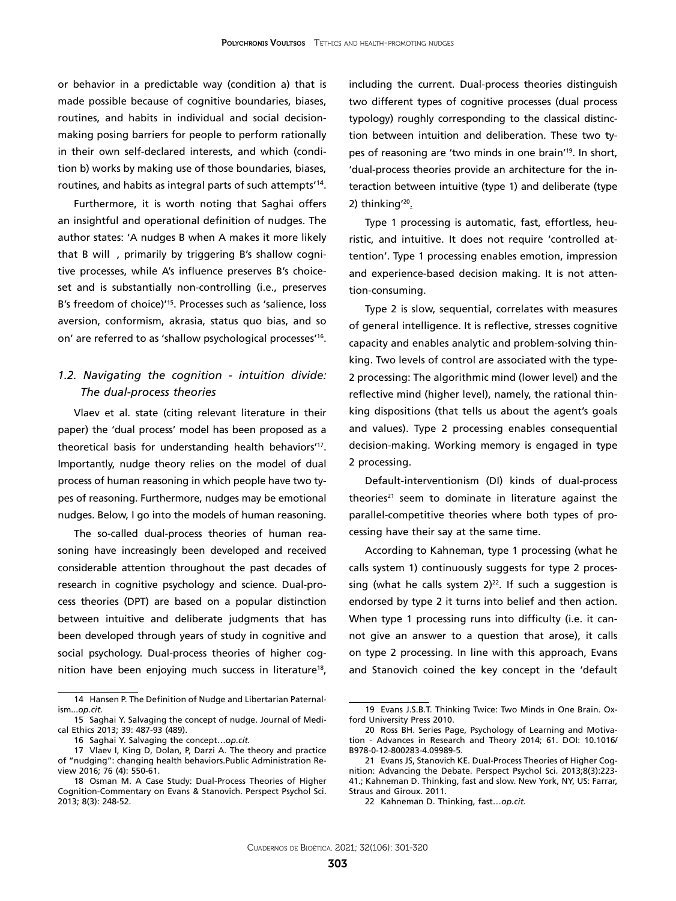or behavior in a predictable way (condition a) that is made possible because of cognitive boundaries, biases, routines, and habits in individual and social decisionmaking posing barriers for people to perform rationally in their own self-declared interests, and which (condition b) works by making use of those boundaries, biases, routines, and habits as integral parts of such attempts'14.

Furthermore, it is worth noting that Saghai offers an insightful and operational definition of nudges. The author states: 'A nudges B when A makes it more likely that B will, primarily by triggering B's shallow cognitive processes, while A's influence preserves B's choiceset and is substantially non-controlling (i.e., preserves B's freedom of choice)'15. Processes such as 'salience, loss aversion, conformism, akrasia, status quo bias, and so on' are referred to as 'shallow psychological processes'16.

### *1.2. Navigating the cognition - intuition divide: The dual-process theories*

Vlaev et al. state (citing relevant literature in their paper) the 'dual process' model has been proposed as a theoretical basis for understanding health behaviors'17. Importantly, nudge theory relies on the model of dual process of human reasoning in which people have two types of reasoning. Furthermore, nudges may be emotional nudges. Below, I go into the models of human reasoning.

The so-called dual-process theories of human reasoning have increasingly been developed and received considerable attention throughout the past decades of research in cognitive psychology and science. Dual-process theories (DPT) are based on a popular distinction between intuitive and deliberate judgments that has been developed through years of study in cognitive and social psychology. Dual-process theories of higher cognition have been enjoying much success in literature<sup>18</sup>,

including the current. Dual-process theories distinguish two different types of cognitive processes (dual process typology) roughly corresponding to the classical distinction between intuition and deliberation. These two types of reasoning are 'two minds in one brain'19. In short, 'dual-process theories provide an architecture for the interaction between intuitive (type 1) and deliberate (type 2) thinking'20.

Type 1 processing is automatic, fast, effortless, heuristic, and intuitive. It does not require 'controlled attention'. Type 1 processing enables emotion, impression and experience-based decision making. It is not attention-consuming.

Type 2 is slow, sequential, correlates with measures of general intelligence. It is reflective, stresses cognitive capacity and enables analytic and problem-solving thinking. Two levels of control are associated with the type-2 processing: The algorithmic mind (lower level) and the reflective mind (higher level), namely, the rational thinking dispositions (that tells us about the agent's goals and values). Type 2 processing enables consequential decision-making. Working memory is engaged in type 2 processing.

Default-interventionism (DI) kinds of dual-process theories<sup>21</sup> seem to dominate in literature against the parallel-competitive theories where both types of processing have their say at the same time.

According to Kahneman, type 1 processing (what he calls system 1) continuously suggests for type 2 processing (what he calls system  $2)^{22}$ . If such a suggestion is endorsed by type 2 it turns into belief and then action. When type 1 processing runs into difficulty (i.e. it cannot give an answer to a question that arose), it calls on type 2 processing. In line with this approach, Evans and Stanovich coined the key concept in the 'default

<sup>14</sup> Hansen P. The Definition of Nudge and Libertarian Paternalism...*op.cit.*

<sup>15</sup> Saghai Y. Salvaging the concept of nudge. Journal of Medical Ethics 2013; 39: 487-93 (489).

<sup>16</sup> Saghai Y. Salvaging the concept…*op.cit.*

<sup>17</sup> Vlaev I, King D, Dolan, P, Darzi A. The theory and practice of "nudging": changing health behaviors.Public Administration Review 2016; 76 (4): 550-61.

<sup>18</sup> [Osman M.](https://www.ncbi.nlm.nih.gov/pubmed/?term=Osman M%5BAuthor%5D&cauthor=true&cauthor_uid=26172967) A Case Study: Dual-Process Theories of Higher Cognition-Commentary on Evans & Stanovich. [Perspect Psychol Sci.](https://www.ncbi.nlm.nih.gov/pubmed/?term=osman+2013+stanovich)  2013; 8(3): 248-52.

<sup>19</sup> Evans J.S.B.T. Thinking Twice: Two Minds in One Brain. Oxford University Press 2010.

<sup>20</sup> Ross BH. Series Page, Psychology of Learning and Motivation - Advances in Research and Theory 2014; 61. DOI: [10.1016/](http://doi.org/10.1016/B978-0-12-800283-4.09989-5) [B978-0-12-800283-4.09989-5.](http://doi.org/10.1016/B978-0-12-800283-4.09989-5)

<sup>21</sup> Evans JS, Stanovich KE. [Dual-Process Theories of Higher Cog](https://www.ncbi.nlm.nih.gov/pubmed/26172965)[nition: Advancing the Debate.](https://www.ncbi.nlm.nih.gov/pubmed/26172965) Perspect Psychol Sci. 2013;8(3):223- 41.; Kahneman D. Thinking, fast and slow. New York, NY, US: Farrar, Straus and Giroux. 2011.

<sup>22</sup> Kahneman D. Thinking, fast…*op.cit.*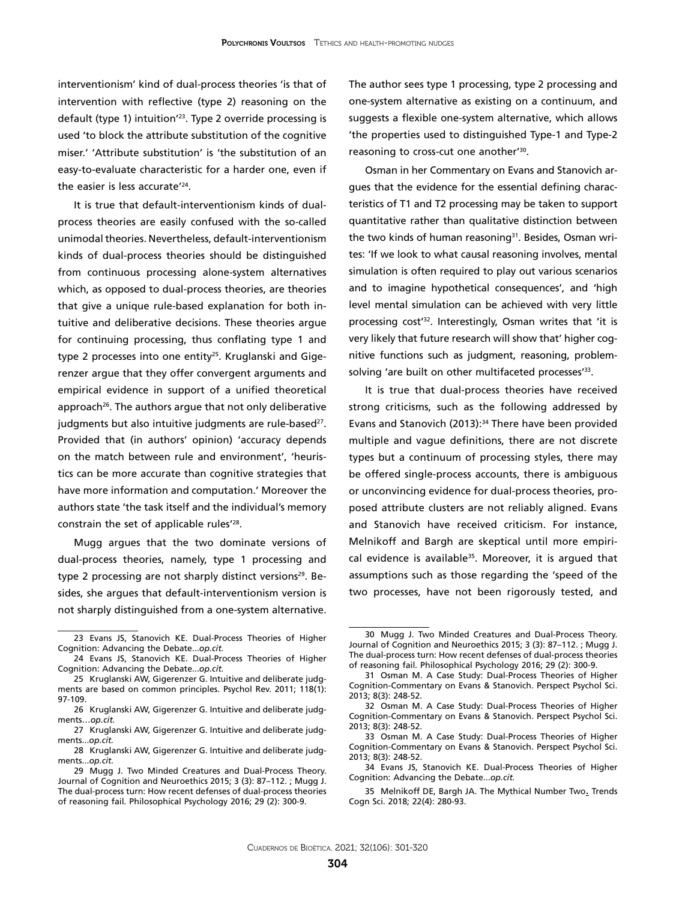interventionism' kind of dual-process theories 'is that of intervention with reflective (type 2) reasoning on the default (type 1) intuition'23. Type 2 override processing is used 'to block the attribute substitution of the cognitive miser.' 'Attribute substitution' is 'the substitution of an easy-to-evaluate characteristic for a harder one, even if the easier is less accurate'24.

It is true that default-interventionism kinds of dualprocess theories are easily confused with the so-called unimodal theories. Nevertheless, default-interventionism kinds of dual-process theories should be distinguished from continuous processing alone-system alternatives which, as opposed to dual-process theories, are theories that give a unique rule-based explanation for both intuitive and deliberative decisions. These theories argue for continuing processing, thus conflating type 1 and type 2 processes into one entity<sup>25</sup>. Kruglanski and Gigerenzer argue that they offer convergent arguments and empirical evidence in support of a unified theoretical approach<sup>26</sup>. The authors argue that not only deliberative judgments but also intuitive judgments are rule-based<sup>27</sup>. Provided that (in authors' opinion) 'accuracy depends on the match between rule and environment', 'heuristics can be more accurate than cognitive strategies that have more information and computation.' Moreover the authors state 'the task itself and the individual's memory constrain the set of applicable rules'28.

Mugg argues that the two dominate versions of dual-process theories, namely, type 1 processing and type 2 processing are not sharply distinct versions<sup>29</sup>. Besides, she argues that default-interventionism version is not sharply distinguished from a one-system alternative.

The author sees type 1 processing, type 2 processing and one-system alternative as existing on a continuum, and suggests a flexible one-system alternative, which allows 'the properties used to distinguished Type-1 and Type-2 reasoning to cross-cut one another'30.

Osman in her Commentary on Evans and Stanovich argues that the evidence for the essential defining characteristics of T1 and T2 processing may be taken to support quantitative rather than qualitative distinction between the two kinds of human reasoning<sup>31</sup>. Besides, Osman writes: 'If we look to what causal reasoning involves, mental simulation is often required to play out various scenarios and to imagine hypothetical consequences', and 'high level mental simulation can be achieved with very little processing cost'32. Interestingly, Osman writes that 'it is very likely that future research will show that' higher cognitive functions such as judgment, reasoning, problemsolving 'are built on other multifaceted processes'<sup>33</sup>.

It is true that dual-process theories have received strong criticisms, such as the following addressed by Evans and Stanovich (2013):<sup>34</sup> There have been provided multiple and vague definitions, there are not discrete types but a continuum of processing styles, there may be offered single-process accounts, there is ambiguous or unconvincing evidence for dual-process theories, proposed attribute clusters are not reliably aligned. Evans and Stanovich have received criticism. For instance, Melnikoff and Bargh are skeptical until more empirical evidence is available<sup>35</sup>. Moreover, it is argued that assumptions such as those regarding the 'speed of the two processes, have not been rigorously tested, and

<sup>23</sup> Evans JS, Stanovich KE. [Dual-Process Theories of Higher](https://www.ncbi.nlm.nih.gov/pubmed/26172965)  [Cognition: Advancing the Debate.](https://www.ncbi.nlm.nih.gov/pubmed/26172965)..*op.cit.*

<sup>24</sup> Evans JS, Stanovich KE. [Dual-Process Theories of Higher](https://www.ncbi.nlm.nih.gov/pubmed/26172965)  [Cognition: Advancing the Debate.](https://www.ncbi.nlm.nih.gov/pubmed/26172965)..*op.cit.*

<sup>25</sup> [Kruglanski AW,](https://www.ncbi.nlm.nih.gov/pubmed/?term=Kruglanski AW%5BAuthor%5D&cauthor=true&cauthor_uid=21244188) [Gigerenzer G.](https://www.ncbi.nlm.nih.gov/pubmed/?term=Gigerenzer G%5BAuthor%5D&cauthor=true&cauthor_uid=21244188) Intuitive and deliberate judgments are based on common principles. [Psychol Rev.](https://www.ncbi.nlm.nih.gov/pubmed/21244188) 2011; 118(1): 97-109.

<sup>26</sup> [Kruglanski AW,](https://www.ncbi.nlm.nih.gov/pubmed/?term=Kruglanski AW%5BAuthor%5D&cauthor=true&cauthor_uid=21244188) [Gigerenzer G.](https://www.ncbi.nlm.nih.gov/pubmed/?term=Gigerenzer G%5BAuthor%5D&cauthor=true&cauthor_uid=21244188) Intuitive and deliberate judgments…*op.cit.*

<sup>27</sup> [Kruglanski AW,](https://www.ncbi.nlm.nih.gov/pubmed/?term=Kruglanski AW%5BAuthor%5D&cauthor=true&cauthor_uid=21244188) [Gigerenzer G.](https://www.ncbi.nlm.nih.gov/pubmed/?term=Gigerenzer G%5BAuthor%5D&cauthor=true&cauthor_uid=21244188) Intuitive and deliberate judgments...*op.cit.*

<sup>28</sup> [Kruglanski AW,](https://www.ncbi.nlm.nih.gov/pubmed/?term=Kruglanski AW%5BAuthor%5D&cauthor=true&cauthor_uid=21244188) [Gigerenzer G.](https://www.ncbi.nlm.nih.gov/pubmed/?term=Gigerenzer G%5BAuthor%5D&cauthor=true&cauthor_uid=21244188) Intuitive and deliberate judgments...*op.cit.*

<sup>29</sup> Mugg J. Two Minded Creatures and Dual-Process Theory. Journal of Cognition and Neuroethics 2015; 3 (3): 87–112. ; Mugg J. The dual-process turn: How recent defenses of dual-process theories of reasoning fail*.* Philosophical Psychology 2016; 29 (2): 300-9.

<sup>30</sup> Mugg J. Two Minded Creatures and Dual-Process Theory. Journal of Cognition and Neuroethics 2015; 3 (3): 87–112. ; Mugg J. The dual-process turn: How recent defenses of dual-process theories of reasoning fail*.* Philosophical Psychology 2016; 29 (2): 300-9.

<sup>31</sup> [Osman M](https://www.ncbi.nlm.nih.gov/pubmed/?term=Osman M%5BAuthor%5D&cauthor=true&cauthor_uid=26172967). A Case Study: Dual-Process Theories of Higher Cognition-Commentary on Evans & Stanovich. [Perspect Psychol Sci.](https://www.ncbi.nlm.nih.gov/pubmed/?term=osman+2013+stanovich) 2013; 8(3): 248-52.

<sup>32</sup> [Osman M](https://www.ncbi.nlm.nih.gov/pubmed/?term=Osman M%5BAuthor%5D&cauthor=true&cauthor_uid=26172967). A Case Study: Dual-Process Theories of Higher Cognition-Commentary on Evans & Stanovich. [Perspect Psychol Sci.](https://www.ncbi.nlm.nih.gov/pubmed/?term=osman+2013+stanovich) 2013; 8(3): 248-52.

<sup>33</sup> [Osman M](https://www.ncbi.nlm.nih.gov/pubmed/?term=Osman M%5BAuthor%5D&cauthor=true&cauthor_uid=26172967). A Case Study: Dual-Process Theories of Higher Cognition-Commentary on Evans & Stanovich. [Perspect Psychol Sci.](https://www.ncbi.nlm.nih.gov/pubmed/?term=osman+2013+stanovich) 2013; 8(3): 248-52.

<sup>34</sup> Evans JS, Stanovich KE. [Dual-Process Theories of Higher](https://www.ncbi.nlm.nih.gov/pubmed/26172965) [Cognition: Advancing the Debate.](https://www.ncbi.nlm.nih.gov/pubmed/26172965)..*op.cit.*

<sup>35</sup> Melnikoff DE, Bargh JA. [The Mythical Number Two.](https://www.ncbi.nlm.nih.gov/pubmed/29571664) Trends Cogn Sci. 2018; 22(4): 280-93.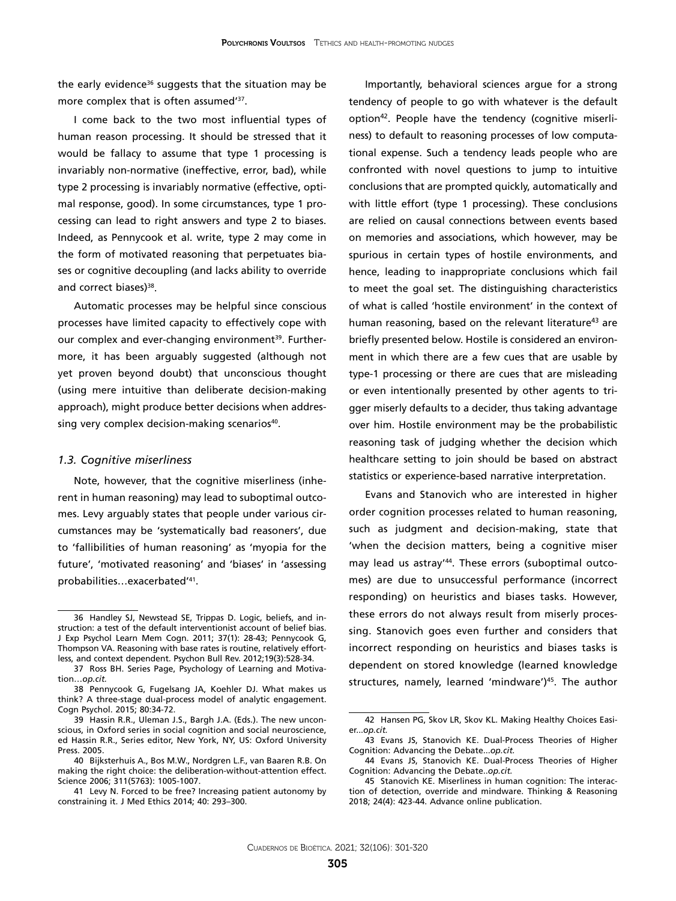the early evidence $36$  suggests that the situation may be more complex that is often assumed'<sup>37</sup>.

I come back to the two most influential types of human reason processing. It should be stressed that it would be fallacy to assume that type 1 processing is invariably non-normative (ineffective, error, bad), while type 2 processing is invariably normative (effective, optimal response, good). In some circumstances, type 1 processing can lead to right answers and type 2 to biases. Indeed, as Pennycook et al. write, type 2 may come in the form of motivated reasoning that perpetuates biases or cognitive decoupling (and lacks ability to override and correct biases)<sup>38</sup>.

Automatic processes may be helpful since conscious processes have limited capacity to effectively cope with our complex and ever-changing environment<sup>39</sup>. Furthermore, it has been arguably suggested (although not yet proven beyond doubt) that unconscious thought (using mere intuitive than deliberate decision-making approach), might produce better decisions when addressing very complex decision-making scenarios<sup>40</sup>.

#### *1.3. Cognitive miserliness*

Note, however, that the cognitive miserliness (inherent in human reasoning) may lead to suboptimal outcomes. Levy arguably states that people under various circumstances may be 'systematically bad reasoners', due to 'fallibilities of human reasoning' as 'myopia for the future', 'motivated reasoning' and 'biases' in 'assessing probabilities…exacerbated'41.

Importantly, behavioral sciences argue for a strong tendency of people to go with whatever is the default option<sup>42</sup>. People have the tendency (cognitive miserliness) to default to reasoning processes of low computational expense. Such a tendency leads people who are confronted with novel questions to jump to intuitive conclusions that are prompted quickly, automatically and with little effort (type 1 processing). These conclusions are relied on causal connections between events based on memories and associations, which however, may be spurious in certain types of hostile environments, and hence, leading to inappropriate conclusions which fail to meet the goal set. The distinguishing characteristics of what is called 'hostile environment' in the context of human reasoning, based on the relevant literature<sup>43</sup> are briefly presented below. Hostile is considered an environment in which there are a few cues that are usable by type-1 processing or there are cues that are misleading or even intentionally presented by other agents to trigger miserly defaults to a decider, thus taking advantage over him. Hostile environment may be the probabilistic reasoning task of judging whether the decision which healthcare setting to join should be based on abstract statistics or experience-based narrative interpretation.

Evans and Stanovich who are interested in higher order cognition processes related to human reasoning, such as judgment and decision-making, state that 'when the decision matters, being a cognitive miser may lead us astray'<sup>44</sup>. These errors (suboptimal outcomes) are due to unsuccessful performance (incorrect responding) on heuristics and biases tasks. However, these errors do not always result from miserly processing. Stanovich goes even further and considers that incorrect responding on heuristics and biases tasks is dependent on stored knowledge (learned knowledge structures, namely, learned 'mindware')<sup>45</sup>. The author

<sup>36</sup> Handley SJ, Newstead SE, Trippas D. [Logic, beliefs, and in](https://www.ncbi.nlm.nih.gov/pubmed/21058879)[struction: a test of the default interventionist account of belief bias.](https://www.ncbi.nlm.nih.gov/pubmed/21058879)  J Exp Psychol Learn Mem Cogn. 2011; 37(1): 28-43; Pennycook G, Thompson VA. [Reasoning with base rates is routine, relatively effort](https://www.ncbi.nlm.nih.gov/pubmed/22427266)[less, and context dependent.](https://www.ncbi.nlm.nih.gov/pubmed/22427266) Psychon Bull Rev. 2012;19(3):528-34.

<sup>37</sup> Ross BH. Series Page, Psychology of Learning and Motivation…*op.cit.*

<sup>38</sup> [Pennycook G](https://www.ncbi.nlm.nih.gov/pubmed/?term=Pennycook G%5BAuthor%5D&cauthor=true&cauthor_uid=26091582), [Fugelsang JA,](https://www.ncbi.nlm.nih.gov/pubmed/?term=Fugelsang JA%5BAuthor%5D&cauthor=true&cauthor_uid=26091582) [Koehler DJ](https://www.ncbi.nlm.nih.gov/pubmed/?term=Koehler DJ%5BAuthor%5D&cauthor=true&cauthor_uid=26091582). What makes us think? A three-stage dual-process model of analytic engagement. [Cogn Psychol.](https://www.ncbi.nlm.nih.gov/pubmed/26091582) 2015; 80:34-72.

<sup>39</sup> Hassin R.R., Uleman J.S., Bargh J.A. (Eds.). The new unconscious, in Oxford series in social cognition and social neuroscience, ed Hassin R.R., Series editor, New York, NY, US: Oxford University Press. 2005.

<sup>40</sup> Bijksterhuis A., Bos M.W., Nordgren L.F., van Baaren R.B. On making the right choice: the deliberation-without-attention effect. Science 2006; 311(5763): 1005-1007.

<sup>41</sup> Levy N. Forced to be free? Increasing patient autonomy by constraining it. J Med Ethics 2014; 40: 293–300.

<sup>42</sup> Hansen PG, Skov LR, Skov KL. [Making Healthy Choices Easi](https://www.ncbi.nlm.nih.gov/pubmed/26735430)[er.](https://www.ncbi.nlm.nih.gov/pubmed/26735430)..*op.cit.*

<sup>43</sup> Evans JS, Stanovich KE. [Dual-Process Theories of Higher](https://www.ncbi.nlm.nih.gov/pubmed/26172965) [Cognition: Advancing the Debate.](https://www.ncbi.nlm.nih.gov/pubmed/26172965)..*op.cit.*

<sup>44</sup> Evans JS, Stanovich KE. [Dual-Process Theories of Higher](https://www.ncbi.nlm.nih.gov/pubmed/26172965) [Cognition: Advancing the Debate.](https://www.ncbi.nlm.nih.gov/pubmed/26172965).*op.cit.*

<sup>45</sup> Stanovich KE. Miserliness in human cognition: The interaction of detection, override and mindware. Thinking & Reasoning 2018; 24(4): 423-44. Advance online publication.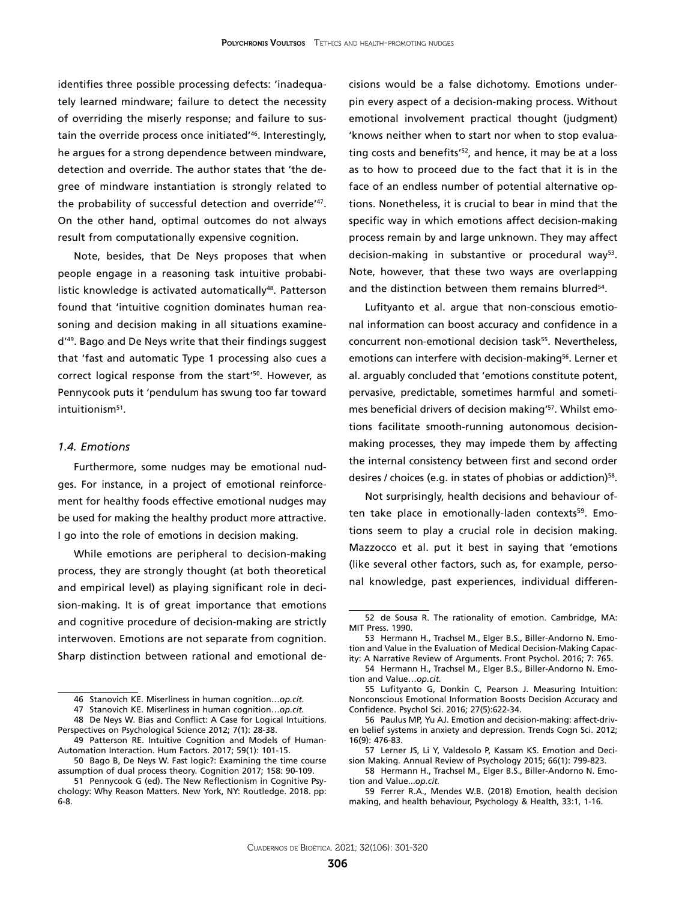identifies three possible processing defects: 'inadequately learned mindware; failure to detect the necessity of overriding the miserly response; and failure to sustain the override process once initiated'46. Interestingly, he argues for a strong dependence between mindware, detection and override. The author states that 'the degree of mindware instantiation is strongly related to the probability of successful detection and override'47. On the other hand, optimal outcomes do not always result from computationally expensive cognition.

Note, besides, that De Neys proposes that when people engage in a reasoning task intuitive probabilistic knowledge is activated automatically<sup>48</sup>. Patterson found that 'intuitive cognition dominates human reasoning and decision making in all situations examined'49. Bago and De Neys write that their findings suggest that 'fast and automatic Type 1 processing also cues a correct logical response from the start'50. However, as Pennycook puts it 'pendulum has swung too far toward intuitionism<sup>51</sup>.

#### *1.4. Emotions*

Furthermore, some nudges may be emotional nudges. For instance, in a project of emotional reinforcement for healthy foods effective emotional nudges may be used for making the healthy product more attractive. I go into the role of emotions in decision making.

While emotions are peripheral to decision-making process, they are strongly thought (at both theoretical and empirical level) as playing significant role in decision-making. It is of great importance that emotions and cognitive procedure of decision-making are strictly interwoven. Emotions are not separate from cognition. Sharp distinction between rational and emotional de-

cisions would be a false dichotomy. Emotions underpin every aspect of a decision-making process. Without emotional involvement practical thought (judgment) 'knows neither when to start nor when to stop evaluating costs and benefits<sup>'52</sup>, and hence, it may be at a loss as to how to proceed due to the fact that it is in the face of an endless number of potential alternative options. Nonetheless, it is crucial to bear in mind that the specific way in which emotions affect decision-making process remain by and large unknown. They may affect decision-making in substantive or procedural way<sup>53</sup>. Note, however, that these two ways are overlapping and the distinction between them remains blurred<sup>54</sup>.

Lufityanto et al. argue that non-conscious emotional information can boost accuracy and confidence in a concurrent non-emotional decision task<sup>55</sup>. Nevertheless, emotions can interfere with decision-making<sup>56</sup>. Lerner et al. arguably concluded that 'emotions constitute potent, pervasive, predictable, sometimes harmful and sometimes beneficial drivers of decision making'<sup>57</sup>. Whilst emotions facilitate smooth-running autonomous decisionmaking processes, they may impede them by affecting the internal consistency between first and second order desires / choices (e.g. in states of phobias or addiction)<sup>58</sup>.

Not surprisingly, health decisions and behaviour often take place in emotionally-laden contexts<sup>59</sup>. Emotions seem to play a crucial role in decision making. Mazzocco et al. put it best in saying that 'emotions (like several other factors, such as, for example, personal knowledge, past experiences, individual differen-

<sup>46</sup> Stanovich KE. Miserliness in human cognition…*op.cit.*

<sup>47</sup> Stanovich KE. Miserliness in human cognition…*op.cit.* 48 De Neys W. Bias and Conflict: A Case for Logical Intuitions.

[Perspectives on Psychological Science](https://journals.sagepub.com/home/pps) 2012; 7(1): 28-38.

<sup>49</sup> [Patterson RE.](https://www.ncbi.nlm.nih.gov/pubmed/?term=Patterson RE%5BAuthor%5D&cauthor=true&cauthor_uid=28146682) Intuitive Cognition and Models of Human-Automation Interaction. [Hum Factors.](https://www.ncbi.nlm.nih.gov/pubmed/?term=patterson+2017+intuitive+cognition) 2017; 59(1): 101-15.

<sup>50</sup> [Bago B](https://www.ncbi.nlm.nih.gov/pubmed/?term=Bago B%5BAuthor%5D&cauthor=true&cauthor_uid=27816844), [De Neys W](https://www.ncbi.nlm.nih.gov/pubmed/?term=De Neys W%5BAuthor%5D&cauthor=true&cauthor_uid=27816844). Fast logic?: Examining the time course assumption of dual process theory. [Cognition](https://www.ncbi.nlm.nih.gov/pubmed/?term=bago+automatic+reasoning) 2017; 158: 90-109.

<sup>51</sup> Pennycook G (ed). The New Reflectionism in Cognitive Psychology: Why Reason Matters. New York, NY: Routledge. 2018. pp: 6-8.

<sup>52</sup> de Sousa R. The rationality of emotion. Cambridge, MA: MIT Press. 1990.

<sup>53</sup> Hermann H., Trachsel M., Elger B.S., Biller-Andorno N. Emotion and Value in the Evaluation of Medical Decision-Making Capacity: A Narrative Review of Arguments. Front Psychol. 2016; 7: 765.

<sup>54</sup> Hermann H., Trachsel M., Elger B.S., Biller-Andorno N. Emotion and Value…*op.cit.*

<sup>55</sup> [Lufityanto G,](https://www.ncbi.nlm.nih.gov/pubmed/?term=Lufityanto G%5BAuthor%5D&cauthor=true&cauthor_uid=27052557) [Donkin C](https://www.ncbi.nlm.nih.gov/pubmed/?term=Donkin C%5BAuthor%5D&cauthor=true&cauthor_uid=27052557), [Pearson J.](https://www.ncbi.nlm.nih.gov/pubmed/?term=Pearson J%5BAuthor%5D&cauthor=true&cauthor_uid=27052557) Measuring Intuition: Nonconscious Emotional Information Boosts Decision Accuracy and Confidence. [Psychol Sci.](https://www.ncbi.nlm.nih.gov/pubmed/27052557) 2016; 27(5):622-34.

<sup>56</sup> [Paulus MP](https://www.ncbi.nlm.nih.gov/pubmed/?term=Paulus MP%5BAuthor%5D&cauthor=true&cauthor_uid=22898207), [Yu AJ.](https://www.ncbi.nlm.nih.gov/pubmed/?term=Yu AJ%5BAuthor%5D&cauthor=true&cauthor_uid=22898207) Emotion and decision-making: affect-driven belief systems in anxiety and depression. [Trends Cogn Sci.](https://www.ncbi.nlm.nih.gov/pubmed/22898207) 2012; 16(9): 476-83.

<sup>57</sup> Lerner JS, Li Y, Valdesolo P, Kassam KS. [Emotion and Deci](https://www.annualreviews.org/doi/abs/10.1146/annurev-psych-010213-115043)[sion Making.](https://www.annualreviews.org/doi/abs/10.1146/annurev-psych-010213-115043) Annual Review of Psychology 2015; 66(1): 799-823.

<sup>58</sup> Hermann H., Trachsel M., Elger B.S., Biller-Andorno N. Emotion and Value...*op.cit.*

<sup>59</sup> Ferrer R.A., Mendes W.B. (2018) Emotion, health decision making, and health behaviour, Psychology & Health, 33:1, 1-16.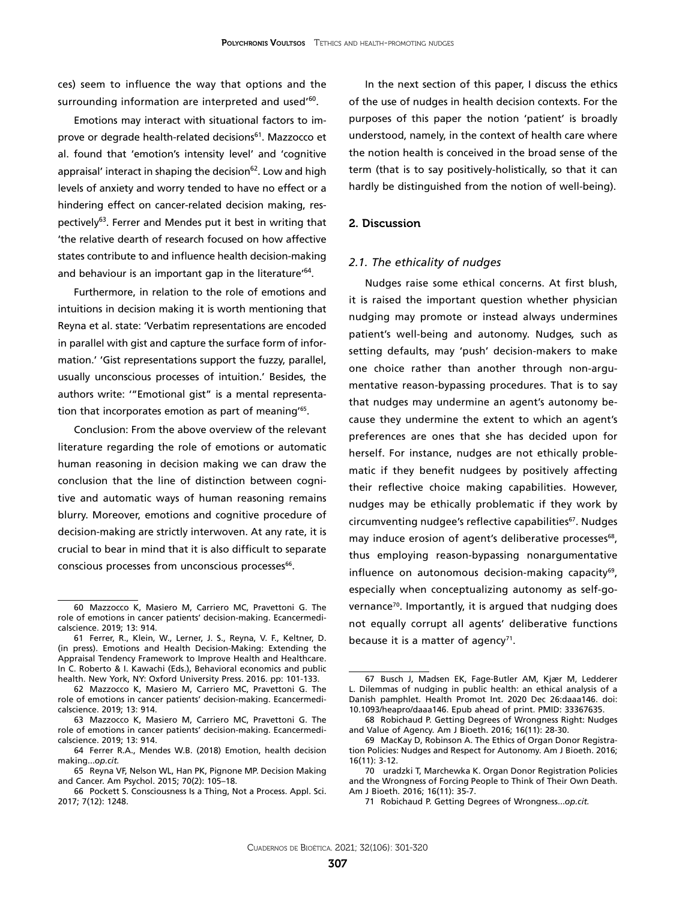ces) seem to influence the way that options and the surrounding information are interpreted and used'<sup>60</sup>.

Emotions may interact with situational factors to improve or degrade health-related decisions<sup>61</sup>. Mazzocco et al. found that 'emotion's intensity level' and 'cognitive appraisal' interact in shaping the decision $62$ . Low and high levels of anxiety and worry tended to have no effect or a hindering effect on cancer-related decision making, respectively<sup>63</sup>. Ferrer and Mendes put it best in writing that 'the relative dearth of research focused on how affective states contribute to and influence health decision-making and behaviour is an important gap in the literature<sup>'64</sup>.

Furthermore, in relation to the role of emotions and intuitions in decision making it is worth mentioning that Reyna et al. state: 'Verbatim representations are encoded in parallel with gist and capture the surface form of information.' 'Gist representations support the fuzzy, parallel, usually unconscious processes of intuition.' Besides, the authors write: '"Emotional gist" is a mental representation that incorporates emotion as part of meaning'<sup>65</sup>.

Conclusion: From the above overview of the relevant literature regarding the role of emotions or automatic human reasoning in decision making we can draw the conclusion that the line of distinction between cognitive and automatic ways of human reasoning remains blurry. Moreover, emotions and cognitive procedure of decision-making are strictly interwoven. At any rate, it is crucial to bear in mind that it is also difficult to separate conscious processes from unconscious processes<sup>66</sup>.

In the next section of this paper, I discuss the ethics of the use of nudges in health decision contexts. For the purposes of this paper the notion 'patient' is broadly understood, namely, in the context of health care where the notion health is conceived in the broad sense of the term (that is to say positively-holistically, so that it can hardly be distinguished from the notion of well-being).

### 2. Discussion

#### *2.1. The ethicality of nudges*

Nudges raise some ethical concerns. At first blush, it is raised the important question whether physician nudging may promote or instead always undermines patient's well-being and autonomy. Nudges*,* such as setting defaults, may 'push' decision-makers to make one choice rather than another through non-argumentative reason-bypassing procedures. That is to say that nudges may undermine an agent's autonomy because they undermine the extent to which an agent's preferences are ones that she has decided upon for herself. For instance, nudges are not ethically problematic if they benefit nudgees by positively affecting their reflective choice making capabilities. However, nudges may be ethically problematic if they work by circumventing nudgee's reflective capabilities<sup>67</sup>. Nudges may induce erosion of agent's deliberative processes<sup>68</sup>, thus employing reason-bypassing nonargumentative influence on autonomous decision-making capacity<sup>69</sup>, especially when conceptualizing autonomy as self-governance<sup>70</sup>. Importantly, it is argued that nudging does not equally corrupt all agents' deliberative functions because it is a matter of agency<sup>71</sup>.

<sup>60</sup> Mazzocco K, Masiero M, Carriero MC, Pravettoni G. [The](https://www.ncbi.nlm.nih.gov/pubmed/31123497)  [role of emotions in cancer patients' decision-making.](https://www.ncbi.nlm.nih.gov/pubmed/31123497) Ecancermedicalscience. 2019; 13: 914.

<sup>61</sup> Ferrer, R., Klein, W., Lerner, J. S., Reyna, V. F., Keltner, D. (in press). Emotions and Health Decision-Making: Extending the Appraisal Tendency Framework to Improve Health and Healthcare. In C. Roberto & I. Kawachi (Eds.), Behavioral economics and public health. New York, NY: Oxford University Press. 2016. pp: 101-133.

<sup>62</sup> Mazzocco K, Masiero M, Carriero MC, Pravettoni G. [The](https://www.ncbi.nlm.nih.gov/pubmed/31123497)  [role of emotions in cancer patients' decision-making.](https://www.ncbi.nlm.nih.gov/pubmed/31123497) Ecancermedicalscience. 2019; 13: 914.

<sup>63</sup> Mazzocco K, Masiero M, Carriero MC, Pravettoni G. [The](https://www.ncbi.nlm.nih.gov/pubmed/31123497)  [role of emotions in cancer patients' decision-making.](https://www.ncbi.nlm.nih.gov/pubmed/31123497) Ecancermedicalscience. 2019; 13: 914.

<sup>64</sup> Ferrer R.A., Mendes W.B. (2018) Emotion, health decision making...*op.cit.*

<sup>65</sup> [Reyna](https://www.ncbi.nlm.nih.gov/pubmed/?term=Reyna VF%5BAuthor%5D&cauthor=true&cauthor_uid=25730718) VF, [Nelson](https://www.ncbi.nlm.nih.gov/pubmed/?term=Nelson WL%5BAuthor%5D&cauthor=true&cauthor_uid=25730718) WL, [Han](https://www.ncbi.nlm.nih.gov/pubmed/?term=Han PK%5BAuthor%5D&cauthor=true&cauthor_uid=25730718) PK, [Pignone](https://www.ncbi.nlm.nih.gov/pubmed/?term=Pignone MP%5BAuthor%5D&cauthor=true&cauthor_uid=25730718) MP. Decision Making and Cancer. [Am Psychol. 2015; 70\(2\): 105–18.](https://www.ncbi.nlm.nih.gov/entrez/eutils/elink.fcgi?dbfrom=pubmed&retmode=ref&cmd=prlinks&id=25730718) 

<sup>66</sup> Pockett S. Consciousness Is a Thing, Not a Process. Appl. Sci. 2017; 7(12): 1248.

<sup>67</sup> Busch J, Madsen EK, Fage-Butler AM, Kjær M, Ledderer L. Dilemmas of nudging in public health: an ethical analysis of a Danish pamphlet. Health Promot Int. 2020 Dec 26:daaa146. doi: 10.1093/heapro/daaa146. Epub ahead of print. PMID: 33367635.

<sup>68</sup> Robichaud P. Getting Degrees of Wrongness Right: Nudges and Value of Agency. Am J Bioeth. 2016; 16(11): 28-30.

<sup>69</sup> MacKay D, Robinson A. The Ethics of Organ Donor Registration Policies: Nudges and Respect for Autonomy. Am J Bioeth. 2016; 16(11): 3-12.

<sup>70</sup> uradzki T, Marchewka K. Organ Donor Registration Policies and the Wrongness of Forcing People to Think of Their Own Death. Am J Bioeth. 2016; 16(11): 35-7.

<sup>71</sup> Robichaud P. Getting Degrees of Wrongness...*op.cit.*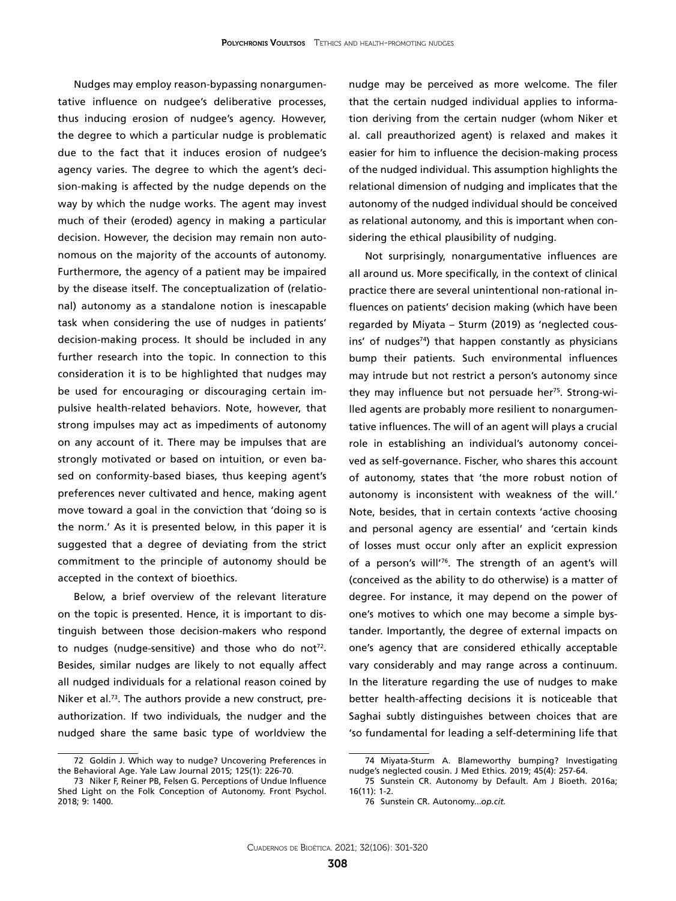Nudges may employ reason-bypassing nonargumentative influence on nudgee's deliberative processes, thus inducing erosion of nudgee's agency. However, the degree to which a particular nudge is problematic due to the fact that it induces erosion of nudgee's agency varies. The degree to which the agent's decision-making is affected by the nudge depends on the way by which the nudge works. The agent may invest much of their (eroded) agency in making a particular decision. However, the decision may remain non autonomous on the majority of the accounts of autonomy. Furthermore, the agency of a patient may be impaired by the disease itself. The conceptualization of (relational) autonomy as a standalone notion is inescapable task when considering the use of nudges in patients' decision-making process. It should be included in any further research into the topic. In connection to this consideration it is to be highlighted that nudges may be used for encouraging or discouraging certain impulsive health-related behaviors. Note, however, that strong impulses may act as impediments of autonomy on any account of it. There may be impulses that are strongly motivated or based on intuition, or even based on conformity-based biases, thus keeping agent's preferences never cultivated and hence, making agent move toward a goal in the conviction that 'doing so is the norm.' As it is presented below, in this paper it is suggested that a degree of deviating from the strict commitment to the principle of autonomy should be accepted in the context of bioethics.

Below, a brief overview of the relevant literature on the topic is presented. Hence, it is important to distinguish between those decision-makers who respond to nudges (nudge-sensitive) and those who do not $72$ . Besides, similar nudges are likely to not equally affect all nudged individuals for a relational reason coined by Niker et al.<sup>73</sup>. The authors provide a new construct, preauthorization. If two individuals, the nudger and the nudged share the same basic type of worldview the

nudge may be perceived as more welcome. The filer that the certain nudged individual applies to information deriving from the certain nudger (whom Niker et al. call preauthorized agent) is relaxed and makes it easier for him to influence the decision-making process of the nudged individual. This assumption highlights the relational dimension of nudging and implicates that the autonomy of the nudged individual should be conceived as relational autonomy, and this is important when considering the ethical plausibility of nudging.

Not surprisingly, nonargumentative influences are all around us. More specifically, in the context of clinical practice there are several unintentional non-rational influences on patients' decision making (which have been regarded by Miyata – Sturm (2019) as 'neglected cousins' of nudges $74$ ) that happen constantly as physicians bump their patients. Such environmental influences may intrude but not restrict a person's autonomy since they may influence but not persuade her<sup>75</sup>. Strong-willed agents are probably more resilient to nonargumentative influences. The will of an agent will plays a crucial role in establishing an individual's autonomy conceived as self-governance. Fischer, who shares this account of autonomy, states that 'the more robust notion of autonomy is inconsistent with weakness of the will.' Note, besides, that in certain contexts 'active choosing and personal agency are essential' and 'certain kinds of losses must occur only after an explicit expression of a person's will'<sup>76</sup>. The strength of an agent's will (conceived as the ability to do otherwise) is a matter of degree. For instance, it may depend on the power of one's motives to which one may become a simple bystander. Importantly, the degree of external impacts on one's agency that are considered ethically acceptable vary considerably and may range across a continuum. In the literature regarding the use of nudges to make better health-affecting decisions it is noticeable that Saghai subtly distinguishes between choices that are 'so fundamental for leading a self-determining life that

<sup>72</sup> Goldin J. Which way to nudge? Uncovering Preferences in the Behavioral Age. Yale Law Journal 2015; 125(1): 226-70.

<sup>73</sup> [Niker F,](https://www.ncbi.nlm.nih.gov/pubmed/?term=Niker F%5BAuthor%5D&cauthor=true&cauthor_uid=30135670) [Reiner PB](https://www.ncbi.nlm.nih.gov/pubmed/?term=Reiner PB%5BAuthor%5D&cauthor=true&cauthor_uid=30135670), [Felsen G.](https://www.ncbi.nlm.nih.gov/pubmed/?term=Felsen G%5BAuthor%5D&cauthor=true&cauthor_uid=30135670) Perceptions of Undue Influence Shed Light on the Folk Conception of Autonomy. [Front Psychol.](https://www.ncbi.nlm.nih.gov/pubmed/?term=niker+2018)  2018; 9: 1400.

<sup>74</sup> [Miyata-Sturm A](https://www.ncbi.nlm.nih.gov/pubmed/?term=Miyata-Sturm A%5BAuthor%5D&cauthor=true&cauthor_uid=30630970). Blameworthy bumping? Investigating nudge's neglected cousin. [J Med Ethics.](https://www.ncbi.nlm.nih.gov/pubmed/?term=miyata+sturm) 2019; 45(4): 257-64.

<sup>75</sup> Sunstein CR. Autonomy by Default. Am J Bioeth. 2016a; 16(11): 1-2.

<sup>76</sup> Sunstein CR. Autonomy...*op.cit.*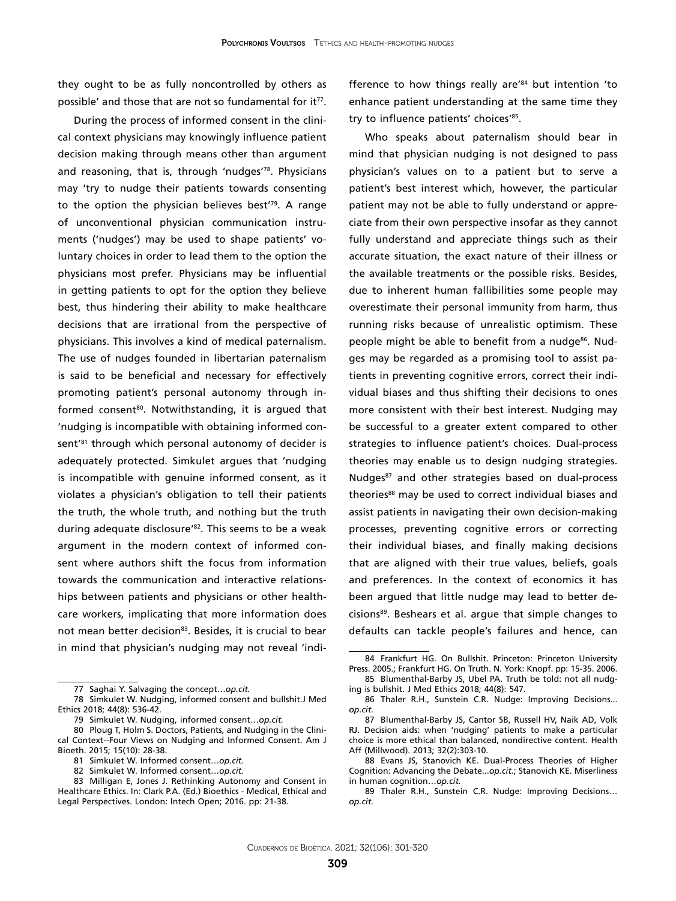they ought to be as fully noncontrolled by others as possible' and those that are not so fundamental for  $it^{77}$ .

During the process of informed consent in the clinical context physicians may knowingly influence patient decision making through means other than argument and reasoning, that is, through 'nudges'78. Physicians may 'try to nudge their patients towards consenting to the option the physician believes best'79. A range of unconventional physician communication instruments ('nudges') may be used to shape patients' voluntary choices in order to lead them to the option the physicians most prefer. Physicians may be influential in getting patients to opt for the option they believe best, thus hindering their ability to make healthcare decisions that are irrational from the perspective of physicians. This involves a kind of medical paternalism. The use of nudges founded in libertarian paternalism is said to be beneficial and necessary for effectively promoting patient's personal autonomy through informed consent<sup>80</sup>. Notwithstanding, it is argued that 'nudging is incompatible with obtaining informed consent<sup>'81</sup> through which personal autonomy of decider is adequately protected. Simkulet argues that 'nudging is incompatible with genuine informed consent, as it violates a physician's obligation to tell their patients the truth, the whole truth, and nothing but the truth during adequate disclosure<sup>'82</sup>. This seems to be a weak argument in the modern context of informed consent where authors shift the focus from information towards the communication and interactive relationships between patients and physicians or other healthcare workers, implicating that more information does not mean better decision<sup>83</sup>. Besides, it is crucial to bear in mind that physician's nudging may not reveal 'indi-

81 Simkulet W. Informed consent…*op.cit.*

fference to how things really are'84 but intention 'to enhance patient understanding at the same time they try to influence patients' choices'<sup>85</sup>.

Who speaks about paternalism should bear in mind that physician nudging is not designed to pass physician's values on to a patient but to serve a patient's best interest which, however, the particular patient may not be able to fully understand or appreciate from their own perspective insofar as they cannot fully understand and appreciate things such as their accurate situation, the exact nature of their illness or the available treatments or the possible risks. Besides, due to inherent human fallibilities some people may overestimate their personal immunity from harm, thus running risks because of unrealistic optimism. These people might be able to benefit from a nudge<sup>86</sup>. Nudges may be regarded as a promising tool to assist patients in preventing cognitive errors, correct their individual biases and thus shifting their decisions to ones more consistent with their best interest. Nudging may be successful to a greater extent compared to other strategies to influence patient's choices. Dual-process theories may enable us to design nudging strategies. Nudges<sup>87</sup> and other strategies based on dual-process theories<sup>88</sup> may be used to correct individual biases and assist patients in navigating their own decision-making processes, preventing cognitive errors or correcting their individual biases, and finally making decisions that are aligned with their true values, beliefs, goals and preferences. In the context of economics it has been argued that little nudge may lead to better decisions<sup>89</sup>. Beshears et al. argue that simple changes to defaults can tackle people's failures and hence, can

<sup>77</sup> Saghai Y. Salvaging the concept…*op.cit.*

<sup>78</sup> Simkulet W. Nudging, informed consent and bullshit.J Med Ethics 2018; 44(8): 536-42.

<sup>79</sup> Simkulet W. Nudging, informed consent…*op.cit.*

<sup>80</sup> Ploug T, Holm S. Doctors, Patients, and Nudging in the Clinical Context--Four Views on Nudging and Informed Consent. Am J Bioeth. 2015; 15(10): 28-38.

<sup>82</sup> Simkulet W. Informed consent…*op.cit.*

<sup>83</sup> Milligan E, Jones J. Rethinking Autonomy and Consent in Healthcare Ethics. In: Clark P.A. (Ed.) Bioethics - Medical, Ethical and Legal Perspectives. London: Intech Open; 2016. pp: 21-38.

<sup>84</sup> Frankfurt HG. On Bullshit. Princeton: Princeton University Press. 2005.; Frankfurt HG. On Truth. N. York: Knopf. pp: 15-35. 2006. 85 Blumenthal-Barby JS, Ubel PA. Truth be told: not all nudg-

ing is bullshit. J Med Ethics 2018; 44(8): 547.

<sup>86</sup> Thaler R.H., Sunstein C.R. Nudge: Improving Decisions... *op.cit.*

<sup>87</sup> [Blumenthal-Barby JS](https://www.ncbi.nlm.nih.gov/pubmed/?term=Blumenthal-Barby JS%5BAuthor%5D&cauthor=true&cauthor_uid=23381523), [Cantor SB](https://www.ncbi.nlm.nih.gov/pubmed/?term=Cantor SB%5BAuthor%5D&cauthor=true&cauthor_uid=23381523), [Russell HV](https://www.ncbi.nlm.nih.gov/pubmed/?term=Russell HV%5BAuthor%5D&cauthor=true&cauthor_uid=23381523), [Naik AD,](https://www.ncbi.nlm.nih.gov/pubmed/?term=Naik AD%5BAuthor%5D&cauthor=true&cauthor_uid=23381523) [Volk](https://www.ncbi.nlm.nih.gov/pubmed/?term=Volk RJ%5BAuthor%5D&cauthor=true&cauthor_uid=23381523) [RJ](https://www.ncbi.nlm.nih.gov/pubmed/?term=Volk RJ%5BAuthor%5D&cauthor=true&cauthor_uid=23381523). Decision aids: when 'nudging' patients to make a particular choice is more ethical than balanced, nondirective content. [Health](https://www.ncbi.nlm.nih.gov/pubmed/23381523) [Aff \(Millwood\).](https://www.ncbi.nlm.nih.gov/pubmed/23381523) 2013; 32(2):303-10.

<sup>88</sup> Evans JS, Stanovich KE. [Dual-Process Theories of Higher](https://www.ncbi.nlm.nih.gov/pubmed/26172965) [Cognition: Advancing the Debate..](https://www.ncbi.nlm.nih.gov/pubmed/26172965).*op.cit.*; Stanovich KE. Miserliness in human cognition…*op.cit.*

<sup>89</sup> Thaler R.H., Sunstein C.R. Nudge: Improving Decisions… *op.cit.*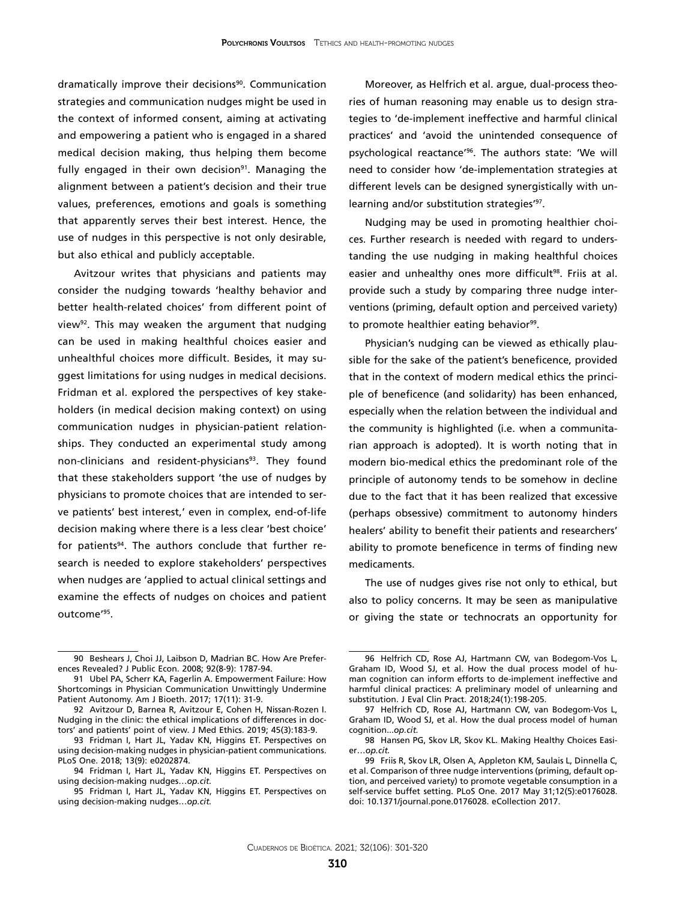dramatically improve their decisions<sup>90</sup>. Communication strategies and communication nudges might be used in the context of informed consent, aiming at activating and empowering a patient who is engaged in a shared medical decision making, thus helping them become fully engaged in their own decision<sup>91</sup>. Managing the alignment between a patient's decision and their true values, preferences, emotions and goals is something that apparently serves their best interest. Hence, the use of nudges in this perspective is not only desirable, but also ethical and publicly acceptable.

Avitzour writes that physicians and patients may consider the nudging towards 'healthy behavior and better health-related choices' from different point of view92. This may weaken the argument that nudging can be used in making healthful choices easier and unhealthful choices more difficult. Besides, it may suggest limitations for using nudges in medical decisions. Fridman et al. explored the perspectives of key stakeholders (in medical decision making context) on using communication nudges in physician-patient relationships. They conducted an experimental study among non-clinicians and resident-physicians<sup>93</sup>. They found that these stakeholders support 'the use of nudges by physicians to promote choices that are intended to serve patients' best interest,' even in complex, end-of-life decision making where there is a less clear 'best choice' for patients<sup>94</sup>. The authors conclude that further research is needed to explore stakeholders' perspectives when nudges are 'applied to actual clinical settings and examine the effects of nudges on choices and patient outcome'95.

Moreover, as Helfrich et al. argue, dual-process theories of human reasoning may enable us to design strategies to 'de-implement ineffective and harmful clinical practices' and 'avoid the unintended consequence of psychological reactance'96. The authors state: 'We will need to consider how 'de-implementation strategies at different levels can be designed synergistically with unlearning and/or substitution strategies'<sup>97</sup>.

Nudging may be used in promoting healthier choices. Further research is needed with regard to understanding the use nudging in making healthful choices easier and unhealthy ones more difficult<sup>98</sup>. Friis at al. provide such a study by comparing three nudge interventions (priming, default option and perceived variety) to promote healthier eating behavior<sup>99</sup>.

Physician's nudging can be viewed as ethically plausible for the sake of the patient's beneficence, provided that in the context of modern medical ethics the principle of beneficence (and solidarity) has been enhanced, especially when the relation between the individual and the community is highlighted (i.e. when a communitarian approach is adopted). It is worth noting that in modern bio-medical ethics the predominant role of the principle of autonomy tends to be somehow in decline due to the fact that it has been realized that excessive (perhaps obsessive) commitment to autonomy hinders healers' ability to benefit their patients and researchers' ability to promote beneficence in terms of finding new medicaments.

The use of nudges gives rise not only to ethical, but also to policy concerns. It may be seen as manipulative or giving the state or technocrats an opportunity for

<sup>90</sup> [Beshears J,](https://www.ncbi.nlm.nih.gov/pubmed/?term=Beshears J%5BAuthor%5D&cauthor=true&cauthor_uid=24761048) [Choi JJ,](https://www.ncbi.nlm.nih.gov/pubmed/?term=Choi JJ%5BAuthor%5D&cauthor=true&cauthor_uid=24761048) [Laibson D](https://www.ncbi.nlm.nih.gov/pubmed/?term=Laibson D%5BAuthor%5D&cauthor=true&cauthor_uid=24761048), [Madrian BC.](https://www.ncbi.nlm.nih.gov/pubmed/?term=Madrian BC%5BAuthor%5D&cauthor=true&cauthor_uid=24761048) How Are Preferences Revealed? [J Public Econ.](https://www.ncbi.nlm.nih.gov/pubmed/?term=Beshears%2C+Choi%2C+Laisbon+and+Madrian+2008) 2008; 92(8-9): 1787-94.

<sup>91</sup> Ubel PA, Scherr KA, Fagerlin A. Empowerment Failure: How Shortcomings in Physician Communication Unwittingly Undermine Patient Autonomy. Am J Bioeth. 2017; 17(11): 31-9.

<sup>92</sup> Avitzour D, Barnea R, Avitzour E, Cohen H, Nissan-Rozen I. [Nudging in the clinic: the ethical implications of differences in doc](https://www.ncbi.nlm.nih.gov/pubmed/30361259)[tors' and patients' point of view.](https://www.ncbi.nlm.nih.gov/pubmed/30361259) J Med Ethics. 2019; 45(3):183-9.

<sup>93</sup> [Fridman I](https://www.ncbi.nlm.nih.gov/pubmed/?term=Fridman I%5BAuthor%5D&cauthor=true&cauthor_uid=30231040), [Hart JL](https://www.ncbi.nlm.nih.gov/pubmed/?term=Hart JL%5BAuthor%5D&cauthor=true&cauthor_uid=30231040), [Yadav KN,](https://www.ncbi.nlm.nih.gov/pubmed/?term=Yadav KN%5BAuthor%5D&cauthor=true&cauthor_uid=30231040) [Higgins ET.](https://www.ncbi.nlm.nih.gov/pubmed/?term=Higgins ET%5BAuthor%5D&cauthor=true&cauthor_uid=30231040) Perspectives on using decision-making nudges in physician-patient communications. [PLoS One.](https://www.ncbi.nlm.nih.gov/pubmed/?term=fridman+nudge) 2018; 13(9): e0202874.

<sup>94</sup> [Fridman I](https://www.ncbi.nlm.nih.gov/pubmed/?term=Fridman I%5BAuthor%5D&cauthor=true&cauthor_uid=30231040), [Hart JL](https://www.ncbi.nlm.nih.gov/pubmed/?term=Hart JL%5BAuthor%5D&cauthor=true&cauthor_uid=30231040), [Yadav KN,](https://www.ncbi.nlm.nih.gov/pubmed/?term=Yadav KN%5BAuthor%5D&cauthor=true&cauthor_uid=30231040) [Higgins ET.](https://www.ncbi.nlm.nih.gov/pubmed/?term=Higgins ET%5BAuthor%5D&cauthor=true&cauthor_uid=30231040) Perspectives on using decision-making nudges…*op.cit.*

<sup>95</sup> [Fridman I](https://www.ncbi.nlm.nih.gov/pubmed/?term=Fridman I%5BAuthor%5D&cauthor=true&cauthor_uid=30231040), [Hart JL](https://www.ncbi.nlm.nih.gov/pubmed/?term=Hart JL%5BAuthor%5D&cauthor=true&cauthor_uid=30231040), [Yadav KN,](https://www.ncbi.nlm.nih.gov/pubmed/?term=Yadav KN%5BAuthor%5D&cauthor=true&cauthor_uid=30231040) [Higgins ET.](https://www.ncbi.nlm.nih.gov/pubmed/?term=Higgins ET%5BAuthor%5D&cauthor=true&cauthor_uid=30231040) Perspectives on using decision-making nudges…*op.cit.*

<sup>96</sup> Helfrich CD, Rose AJ, Hartmann CW, van Bodegom-Vos L, Graham ID, Wood SJ, et al. How the dual process model of human cognition can inform efforts to de-implement ineffective and harmful clinical practices: A preliminary model of unlearning and substitution. J Eval Clin Pract. 2018;24(1):198-205.

<sup>97</sup> Helfrich CD, Rose AJ, Hartmann CW, van Bodegom-Vos L, Graham ID, Wood SJ, et al. How the dual process model of human cognition...*op.cit.*

<sup>98</sup> Hansen PG, Skov LR, Skov KL. [Making Healthy Choices Easi](https://www.ncbi.nlm.nih.gov/pubmed/26735430)er…*[op.cit.](https://www.ncbi.nlm.nih.gov/pubmed/26735430)*

<sup>99</sup> [Friis R,](https://www.ncbi.nlm.nih.gov/pubmed/?term=Friis R%5BAuthor%5D&cauthor=true&cauthor_uid=28562678) [Skov LR,](https://www.ncbi.nlm.nih.gov/pubmed/?term=Skov LR%5BAuthor%5D&cauthor=true&cauthor_uid=28562678) [Olsen A,](https://www.ncbi.nlm.nih.gov/pubmed/?term=Olsen A%5BAuthor%5D&cauthor=true&cauthor_uid=28562678) [Appleton KM,](https://www.ncbi.nlm.nih.gov/pubmed/?term=Appleton KM%5BAuthor%5D&cauthor=true&cauthor_uid=28562678) [Saulais L](https://www.ncbi.nlm.nih.gov/pubmed/?term=Saulais L%5BAuthor%5D&cauthor=true&cauthor_uid=28562678), [Dinnella C](https://www.ncbi.nlm.nih.gov/pubmed/?term=Dinnella C%5BAuthor%5D&cauthor=true&cauthor_uid=28562678), et al. Comparison of three nudge interventions (priming, default option, and perceived variety) to promote vegetable consumption in a self-service buffet setting. [PLoS One.](https://www.ncbi.nlm.nih.gov/pubmed/28562678) 2017 May 31;12(5):e0176028. doi: 10.1371/journal.pone.0176028. eCollection 2017.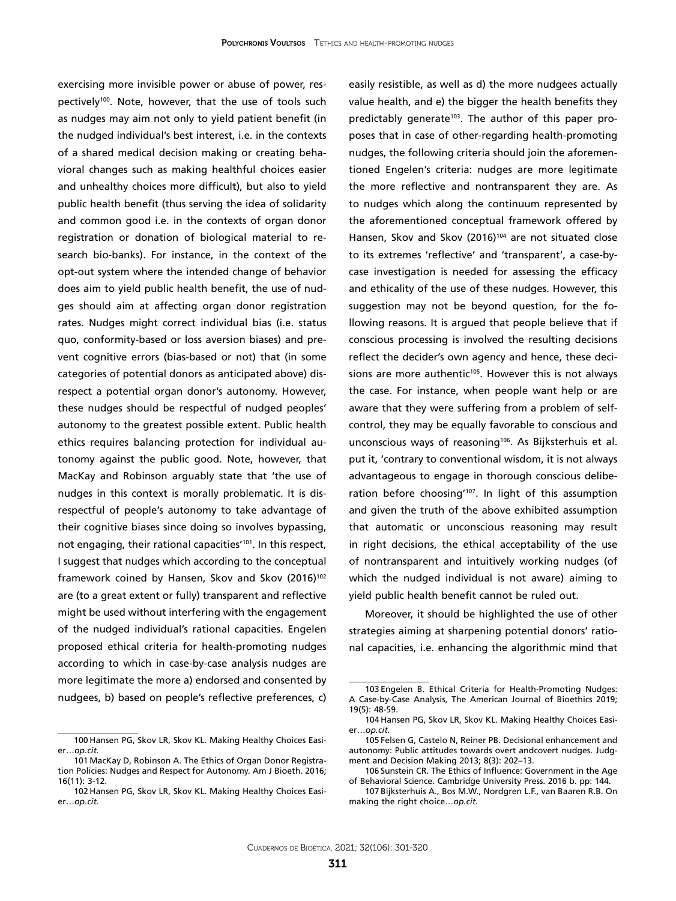exercising more invisible power or abuse of power, respectively<sup>100</sup>. Note, however, that the use of tools such as nudges may aim not only to yield patient benefit (in the nudged individual's best interest, i.e. in the contexts of a shared medical decision making or creating behavioral changes such as making healthful choices easier and unhealthy choices more difficult), but also to yield public health benefit (thus serving the idea of solidarity and common good i.e. in the contexts of organ donor registration or donation of biological material to research bio-banks). For instance, in the context of the opt-out system where the intended change of behavior does aim to yield public health benefit, the use of nudges should aim at affecting organ donor registration rates. Nudges might correct individual bias (i.e. status quo, conformity-based or loss aversion biases) and prevent cognitive errors (bias-based or not) that (in some categories of potential donors as anticipated above) disrespect a potential organ donor's autonomy. However, these nudges should be respectful of nudged peoples' autonomy to the greatest possible extent. Public health ethics requires balancing protection for individual autonomy against the public good. Note, however, that MacKay and Robinson arguably state that 'the use of nudges in this context is morally problematic. It is disrespectful of people's autonomy to take advantage of their cognitive biases since doing so involves bypassing, not engaging, their rational capacities'101. In this respect, I suggest that nudges which according to the conceptual framework coined by Hansen, Skov and Skov (2016)<sup>102</sup> are (to a great extent or fully) transparent and reflective might be used without interfering with the engagement of the nudged individual's rational capacities. Engelen proposed ethical criteria for health-promoting nudges according to which in case-by-case analysis nudges are more legitimate the more a) endorsed and consented by nudgees, b) based on people's reflective preferences, c)

easily resistible, as well as d) the more nudgees actually value health, and e) the bigger the health benefits they predictably generate<sup>103</sup>. The author of this paper proposes that in case of other-regarding health-promoting nudges, the following criteria should join the aforementioned Engelen's criteria: nudges are more legitimate the more reflective and nontransparent they are. As to nudges which along the continuum represented by the aforementioned conceptual framework offered by Hansen, Skov and Skov (2016)<sup>104</sup> are not situated close to its extremes 'reflective' and 'transparent', a case-bycase investigation is needed for assessing the efficacy and ethicality of the use of these nudges. However, this suggestion may not be beyond question, for the following reasons. It is argued that people believe that if conscious processing is involved the resulting decisions reflect the decider's own agency and hence, these decisions are more authentic $105$ . However this is not always the case. For instance, when people want help or are aware that they were suffering from a problem of selfcontrol, they may be equally favorable to conscious and unconscious ways of reasoning<sup>106</sup>. As Bijksterhuis et al. put it, 'contrary to conventional wisdom, it is not always advantageous to engage in thorough conscious deliberation before choosing<sup>1107</sup>. In light of this assumption and given the truth of the above exhibited assumption that automatic or unconscious reasoning may result in right decisions, the ethical acceptability of the use of nontransparent and intuitively working nudges (of which the nudged individual is not aware) aiming to yield public health benefit cannot be ruled out.

Moreover, it should be highlighted the use of other strategies aiming at sharpening potential donors' rational capacities, i.e. enhancing the algorithmic mind that

<sup>100</sup> Hansen PG, Skov LR, Skov KL. [Making Healthy Choices Easi](https://www.ncbi.nlm.nih.gov/pubmed/26735430)er…*[op.cit.](https://www.ncbi.nlm.nih.gov/pubmed/26735430)* 

<sup>101</sup> MacKay D, Robinson A. The Ethics of Organ Donor Registration Policies: Nudges and Respect for Autonomy. Am J Bioeth. 2016; 16(11): 3-12.

<sup>102</sup> Hansen PG, Skov LR, Skov KL. [Making Healthy Choices Easi](https://www.ncbi.nlm.nih.gov/pubmed/26735430)er…*[op.cit.](https://www.ncbi.nlm.nih.gov/pubmed/26735430)* 

<sup>103</sup> Engelen B. Ethical Criteria for Health-Promoting Nudges: A Case-by-Case Analysis, The American Journal of Bioethics 2019; 19(5): 48-59.

<sup>104</sup> Hansen PG, Skov LR, Skov KL. [Making Healthy Choices Easi](https://www.ncbi.nlm.nih.gov/pubmed/26735430)[er…](https://www.ncbi.nlm.nih.gov/pubmed/26735430)*op.cit.*

<sup>105</sup> Felsen G, Castelo N, Reiner PB. Decisional enhancement and autonomy: Public attitudes towards overt andcovert nudges. Judgment and Decision Making 2013; 8(3): 202–13.

<sup>106</sup> Sunstein CR. The Ethics of Influence: Government in the Age of Behavioral Science. Cambridge University Press. 2016 b. pp: 144.

<sup>107</sup> Bijksterhuis A., Bos M.W., Nordgren L.F., van Baaren R.B. On making the right choice…*op.cit.*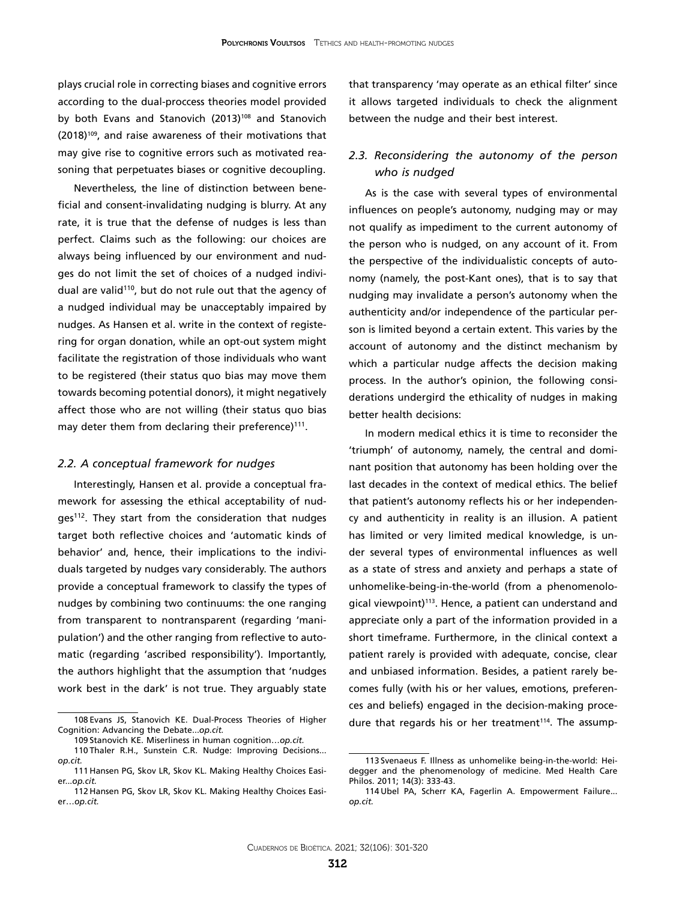plays crucial role in correcting biases and cognitive errors according to the dual-proccess theories model provided by both Evans and Stanovich (2013)<sup>108</sup> and Stanovich (2018)109, and raise awareness of their motivations that may give rise to cognitive errors such as motivated reasoning that perpetuates biases or cognitive decoupling.

Nevertheless, the line of distinction between beneficial and consent-invalidating nudging is blurry. At any rate, it is true that the defense of nudges is less than perfect. Claims such as the following: our choices are always being influenced by our environment and nudges do not limit the set of choices of a nudged individual are valid<sup>110</sup>, but do not rule out that the agency of a nudged individual may be unacceptably impaired by nudges. As Hansen et al. write in the context of registering for organ donation, while an opt-out system might facilitate the registration of those individuals who want to be registered (their status quo bias may move them towards becoming potential donors), it might negatively affect those who are not willing (their status quo bias may deter them from declaring their preference)<sup>111</sup>.

#### *2.2. A conceptual framework for nudges*

Interestingly, Hansen et al. provide a conceptual framework for assessing the ethical acceptability of nudges<sup>112</sup>. They start from the consideration that nudges target both reflective choices and 'automatic kinds of behavior' and, hence, their implications to the individuals targeted by nudges vary considerably. The authors provide a conceptual framework to classify the types of nudges by combining two continuums: the one ranging from transparent to nontransparent (regarding 'manipulation') and the other ranging from reflective to automatic (regarding 'ascribed responsibility'). Importantly, the authors highlight that the assumption that 'nudges work best in the dark' is not true. They arguably state

that transparency 'may operate as an ethical filter' since it allows targeted individuals to check the alignment between the nudge and their best interest.

### *2.3. Reconsidering the autonomy of the person who is nudged*

As is the case with several types of environmental influences on people's autonomy, nudging may or may not qualify as impediment to the current autonomy of the person who is nudged, on any account of it. From the perspective of the individualistic concepts of autonomy (namely, the post-Kant ones), that is to say that nudging may invalidate a person's autonomy when the authenticity and/or independence of the particular person is limited beyond a certain extent. This varies by the account of autonomy and the distinct mechanism by which a particular nudge affects the decision making process. In the author's opinion, the following considerations undergird the ethicality of nudges in making better health decisions:

In modern medical ethics it is time to reconsider the 'triumph' of autonomy, namely, the central and dominant position that autonomy has been holding over the last decades in the context of medical ethics. The belief that patient's autonomy reflects his or her independency and authenticity in reality is an illusion. A patient has limited or very limited medical knowledge, is under several types of environmental influences as well as a state of stress and anxiety and perhaps a state of unhomelike-being-in-the-world (from a phenomenological viewpoint)<sup>113</sup>. Hence, a patient can understand and appreciate only a part of the information provided in a short timeframe. Furthermore, in the clinical context a patient rarely is provided with adequate, concise, clear and unbiased information. Besides, a patient rarely becomes fully (with his or her values, emotions, preferences and beliefs) engaged in the decision-making procedure that regards his or her treatment<sup>114</sup>. The assump-

<sup>108</sup> Evans JS, Stanovich KE. [Dual-Process Theories of Higher](https://www.ncbi.nlm.nih.gov/pubmed/26172965)  [Cognition: Advancing the Debate.](https://www.ncbi.nlm.nih.gov/pubmed/26172965)..*op.cit.*

<sup>109</sup> Stanovich KE. Miserliness in human cognition…*op.cit.*

<sup>110</sup> Thaler R.H., Sunstein C.R. Nudge: Improving Decisions... *op.cit.*

<sup>111</sup> Hansen PG, Skov LR, Skov KL. [Making Healthy Choices Easi](https://www.ncbi.nlm.nih.gov/pubmed/26735430)[er..](https://www.ncbi.nlm.nih.gov/pubmed/26735430).*op.cit.*

<sup>112</sup> Hansen PG, Skov LR, Skov KL. [Making Healthy Choices Easi](https://www.ncbi.nlm.nih.gov/pubmed/26735430)er…*[op.cit.](https://www.ncbi.nlm.nih.gov/pubmed/26735430)* 

<sup>113</sup> [Svenaeus F.](https://www.ncbi.nlm.nih.gov/pubmed/?term=Svenaeus F%5BAuthor%5D&cauthor=true&cauthor_uid=21107913) Illness as unhomelike being-in-the-world: Heidegger and the phenomenology of medicine. [Med Health Care](https://www.ncbi.nlm.nih.gov/pubmed/21107913) [Philos.](https://www.ncbi.nlm.nih.gov/pubmed/21107913) 2011; 14(3): 333-43.

<sup>114</sup> Ubel PA, Scherr KA, Fagerlin A. Empowerment Failure... *op.cit.*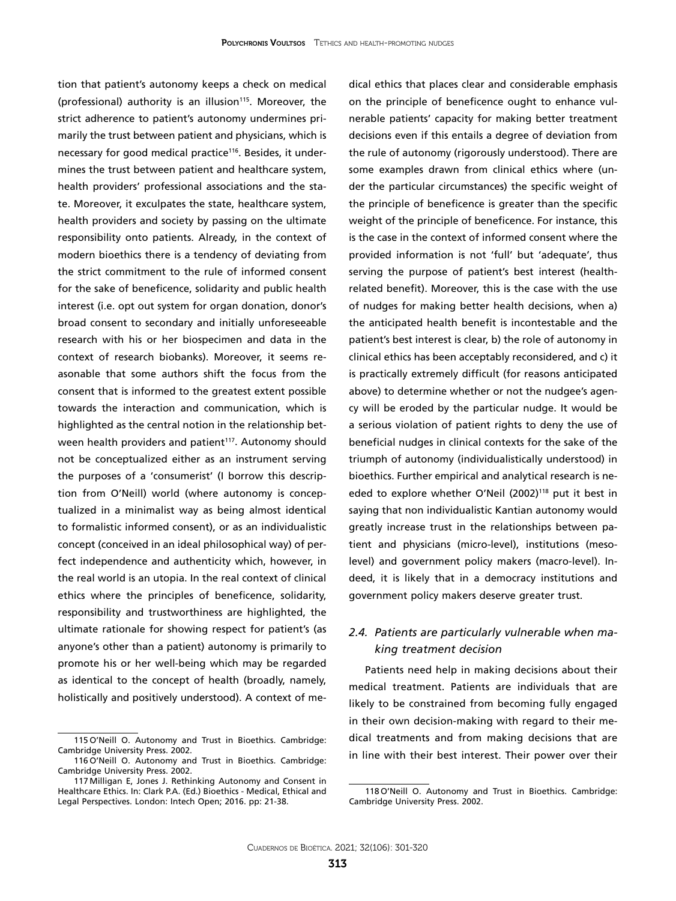tion that patient's autonomy keeps a check on medical (professional) authority is an illusion<sup>115</sup>. Moreover, the strict adherence to patient's autonomy undermines primarily the trust between patient and physicians, which is necessary for good medical practice<sup>116</sup>. Besides, it undermines the trust between patient and healthcare system, health providers' professional associations and the state. Moreover, it exculpates the state, healthcare system, health providers and society by passing on the ultimate responsibility onto patients. Already, in the context of modern bioethics there is a tendency of deviating from the strict commitment to the rule of informed consent for the sake of beneficence, solidarity and public health interest (i.e. opt out system for organ donation, donor's broad consent to secondary and initially unforeseeable research with his or her biospecimen and data in the context of research biobanks). Moreover, it seems reasonable that some authors shift the focus from the consent that is informed to the greatest extent possible towards the interaction and communication, which is highlighted as the central notion in the relationship between health providers and patient<sup>117</sup>. Autonomy should not be conceptualized either as an instrument serving the purposes of a 'consumerist' (I borrow this description from O'Neill) world (where autonomy is conceptualized in a minimalist way as being almost identical to formalistic informed consent), or as an individualistic concept (conceived in an ideal philosophical way) of perfect independence and authenticity which, however, in the real world is an utopia. In the real context of clinical ethics where the principles of beneficence, solidarity, responsibility and trustworthiness are highlighted, the ultimate rationale for showing respect for patient's (as anyone's other than a patient) autonomy is primarily to promote his or her well-being which may be regarded as identical to the concept of health (broadly, namely, holistically and positively understood). A context of me-

dical ethics that places clear and considerable emphasis on the principle of beneficence ought to enhance vulnerable patients' capacity for making better treatment decisions even if this entails a degree of deviation from the rule of autonomy (rigorously understood). There are some examples drawn from clinical ethics where (under the particular circumstances) the specific weight of the principle of beneficence is greater than the specific weight of the principle of beneficence. For instance, this is the case in the context of informed consent where the provided information is not 'full' but 'adequate', thus serving the purpose of patient's best interest (healthrelated benefit). Moreover, this is the case with the use of nudges for making better health decisions, when a) the anticipated health benefit is incontestable and the patient's best interest is clear, b) the role of autonomy in clinical ethics has been acceptably reconsidered, and c) it is practically extremely difficult (for reasons anticipated above) to determine whether or not the nudgee's agency will be eroded by the particular nudge. It would be a serious violation of patient rights to deny the use of beneficial nudges in clinical contexts for the sake of the triumph of autonomy (individualistically understood) in bioethics. Further empirical and analytical research is needed to explore whether O'Neil (2002)<sup>118</sup> put it best in saying that non individualistic Kantian autonomy would greatly increase trust in the relationships between patient and physicians (micro-level), institutions (mesolevel) and government policy makers (macro-level). Indeed, it is likely that in a democracy institutions and government policy makers deserve greater trust.

### *2.4. Patients are particularly vulnerable when making treatment decision*

Patients need help in making decisions about their medical treatment. Patients are individuals that are likely to be constrained from becoming fully engaged in their own decision-making with regard to their medical treatments and from making decisions that are in line with their best interest. Their power over their

<sup>115</sup> O'Neill O. Autonomy and Trust in Bioethics. Cambridge: Cambridge University Press. 2002.

<sup>116</sup> O'Neill O. Autonomy and Trust in Bioethics. Cambridge: Cambridge University Press. 2002.

<sup>117</sup> Milligan E, Jones J. Rethinking Autonomy and Consent in Healthcare Ethics. In: Clark P.A. (Ed.) Bioethics - Medical, Ethical and Legal Perspectives. London: Intech Open; 2016. pp: 21-38.

<sup>118</sup> O'Neill O. Autonomy and Trust in Bioethics. Cambridge: Cambridge University Press. 2002.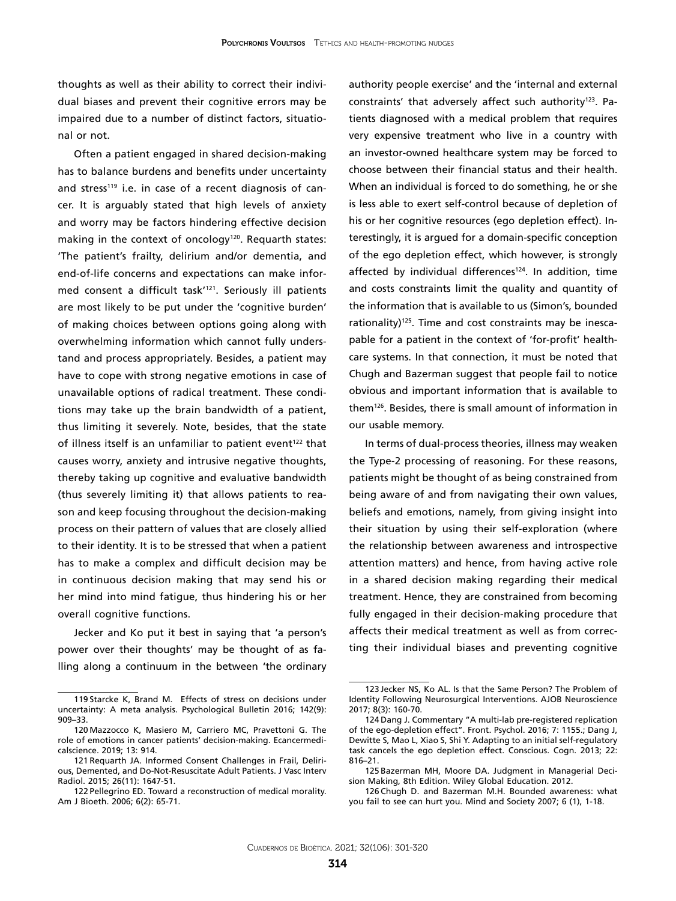thoughts as well as their ability to correct their individual biases and prevent their cognitive errors may be impaired due to a number of distinct factors, situational or not.

Often a patient engaged in shared decision-making has to balance burdens and benefits under uncertainty and stress<sup>119</sup> i.e. in case of a recent diagnosis of cancer. It is arguably stated that high levels of anxiety and worry may be factors hindering effective decision making in the context of oncology<sup>120</sup>. Requarth states: 'The patient's frailty, delirium and/or dementia, and end-of-life concerns and expectations can make informed consent a difficult task'121. Seriously ill patients are most likely to be put under the 'cognitive burden' of making choices between options going along with overwhelming information which cannot fully understand and process appropriately. Besides, a patient may have to cope with strong negative emotions in case of unavailable options of radical treatment. These conditions may take up the brain bandwidth of a patient, thus limiting it severely. Note, besides, that the state of illness itself is an unfamiliar to patient event<sup>122</sup> that causes worry, anxiety and intrusive negative thoughts, thereby taking up cognitive and evaluative bandwidth (thus severely limiting it) that allows patients to reason and keep focusing throughout the decision-making process on their pattern of values that are closely allied to their identity. It is to be stressed that when a patient has to make a complex and difficult decision may be in continuous decision making that may send his or her mind into mind fatigue, thus hindering his or her overall cognitive functions.

Jecker and Ko put it best in saying that 'a person's power over their thoughts' may be thought of as falling along a continuum in the between 'the ordinary authority people exercise' and the 'internal and external constraints' that adversely affect such authority<sup>123</sup>. Patients diagnosed with a medical problem that requires very expensive treatment who live in a country with an investor-owned healthcare system may be forced to choose between their financial status and their health. When an individual is forced to do something, he or she is less able to exert self-control because of depletion of his or her cognitive resources (ego depletion effect). Interestingly, it is argued for a domain-specific conception of the ego depletion effect, which however, is strongly affected by individual differences<sup>124</sup>. In addition, time and costs constraints limit the quality and quantity of the information that is available to us (Simon's, bounded rationality)125. Time and cost constraints may be inescapable for a patient in the context of 'for-profit' healthcare systems. In that connection, it must be noted that Chugh and Bazerman suggest that people fail to notice obvious and important information that is available to them126. Besides, there is small amount of information in our usable memory.

In terms of dual-process theories, illness may weaken the Type-2 processing of reasoning. For these reasons, patients might be thought of as being constrained from being aware of and from navigating their own values, beliefs and emotions, namely, from giving insight into their situation by using their self-exploration (where the relationship between awareness and introspective attention matters) and hence, from having active role in a shared decision making regarding their medical treatment. Hence, they are constrained from becoming fully engaged in their decision-making procedure that affects their medical treatment as well as from correcting their individual biases and preventing cognitive

<sup>119</sup> Starcke K, Brand M. Effects of stress on decisions under uncertainty: A meta analysis. Psychological Bulletin 2016; 142(9): 909–33.

<sup>120</sup> Mazzocco K, Masiero M, Carriero MC, Pravettoni G. [The](https://www.ncbi.nlm.nih.gov/pubmed/31123497)  [role of emotions in cancer patients' decision-making.](https://www.ncbi.nlm.nih.gov/pubmed/31123497) Ecancermedicalscience. 2019; 13: 914.

<sup>121</sup> [Requarth JA](https://www.ncbi.nlm.nih.gov/pubmed/?term=Requarth JA%5BAuthor%5D&cauthor=true&cauthor_uid=26371998). Informed Consent Challenges in Frail, Delirious, Demented, and Do-Not-Resuscitate Adult Patients. [J Vasc Interv](https://www.ncbi.nlm.nih.gov/pubmed/?term=requarth+informed+consent)  [Radiol.](https://www.ncbi.nlm.nih.gov/pubmed/?term=requarth+informed+consent) 2015; 26(11): 1647-51.

<sup>122</sup> Pellegrino ED. Toward a reconstruction of medical morality. Am J Bioeth. 2006; 6(2): 65-71.

<sup>123</sup> Jecker NS, Ko AL. Is that the Same Person? The Problem of Identity Following Neurosurgical Interventions. AJOB Neuroscience 2017; 8(3): 160-70.

<sup>124</sup> Dang J. Commentary "A multi-lab pre-registered replication of the ego-depletion effect". Front. Psychol. 2016; 7: 1155.; Dang J, Dewitte S, Mao L, Xiao S, Shi Y. Adapting to an initial self-regulatory task cancels the ego depletion effect. Conscious. Cogn. 2013; 22: 816–21.

<sup>125</sup> [Bazerman](https://www.wiley.com/en-us/search?pq=%7Crelevance%7Cauthor%3AMax+H.+Bazerman) MH, [Moore](https://www.wiley.com/en-us/search?pq=%7Crelevance%7Cauthor%3ADon+A.+Moore) DA. Judgment in Managerial Decision Making, 8th Edition. Wiley Global Education. 2012.

<sup>126</sup> [Chugh](https://philpapers.org/s/Dolly Chugh) D. and Bazerman M.H. [Bounded awareness: what](https://philpapers.org/go.pl?id=DOLBAW&proxyId=&u=http%3A%2F%2Fdx.doi.org%2F10.1007%2Fs11299-006-0020-4) [you fail to see can hurt you](https://philpapers.org/go.pl?id=DOLBAW&proxyId=&u=http%3A%2F%2Fdx.doi.org%2F10.1007%2Fs11299-006-0020-4). [Mind and Society](https://philpapers.org/asearch.pl?pub=685) 2007; 6 (1), 1-18.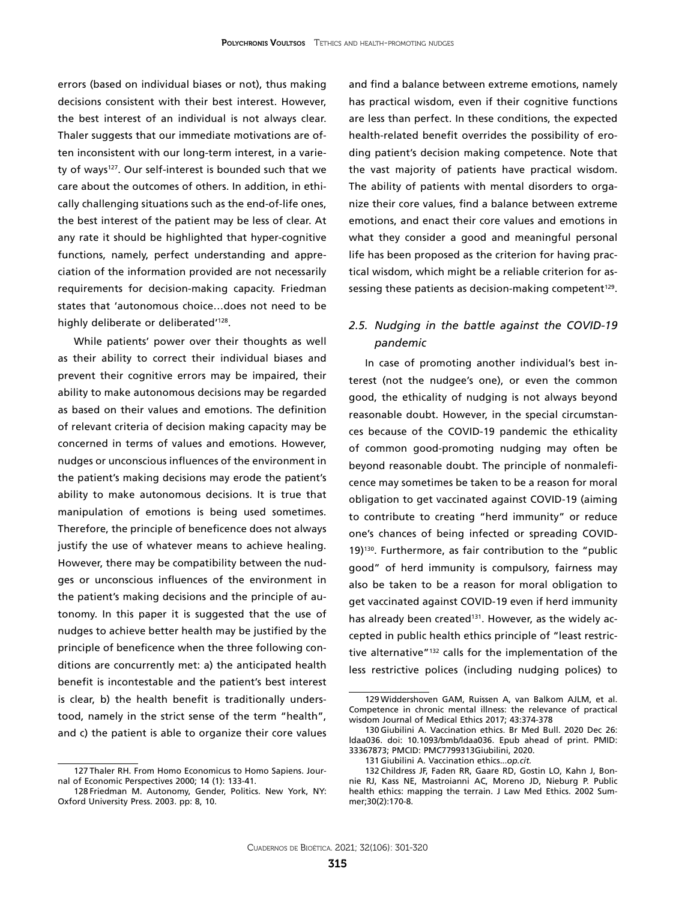errors (based on individual biases or not), thus making decisions consistent with their best interest. However, the best interest of an individual is not always clear. Thaler suggests that our immediate motivations are often inconsistent with our long-term interest, in a variety of ways<sup>127</sup>. Our self-interest is bounded such that we care about the outcomes of others. In addition, in ethically challenging situations such as the end-of-life ones, the best interest of the patient may be less of clear. At any rate it should be highlighted that hyper-cognitive functions, namely, perfect understanding and appreciation of the information provided are not necessarily requirements for decision-making capacity. Friedman states that 'autonomous choice…does not need to be highly deliberate or deliberated<sup>'128</sup>.

While patients' power over their thoughts as well as their ability to correct their individual biases and prevent their cognitive errors may be impaired, their ability to make autonomous decisions may be regarded as based on their values and emotions. The definition of relevant criteria of decision making capacity may be concerned in terms of values and emotions. However, nudges or unconscious influences of the environment in the patient's making decisions may erode the patient's ability to make autonomous decisions. It is true that manipulation of emotions is being used sometimes. Therefore, the principle of beneficence does not always justify the use of whatever means to achieve healing. However, there may be compatibility between the nudges or unconscious influences of the environment in the patient's making decisions and the principle of autonomy. In this paper it is suggested that the use of nudges to achieve better health may be justified by the principle of beneficence when the three following conditions are concurrently met: a) the anticipated health benefit is incontestable and the patient's best interest is clear, b) the health benefit is traditionally understood, namely in the strict sense of the term "health", and c) the patient is able to organize their core values

and find a balance between extreme emotions, namely has practical wisdom, even if their cognitive functions are less than perfect. In these conditions, the expected health-related benefit overrides the possibility of eroding patient's decision making competence. Note that the vast majority of patients have practical wisdom. The ability of patients with mental disorders to organize their core values, find a balance between extreme emotions, and enact their core values and emotions in what they consider a good and meaningful personal life has been proposed as the criterion for having practical wisdom, which might be a reliable criterion for assessing these patients as decision-making competent<sup>129</sup>.

### *2.5. Nudging in the battle against the COVID-19 pandemic*

In case of promoting another individual's best interest (not the nudgee's one), or even the common good, the ethicality of nudging is not always beyond reasonable doubt. However, in the special circumstances because of the COVID-19 pandemic the ethicality of common good-promoting nudging may often be beyond reasonable doubt. The principle of nonmaleficence may sometimes be taken to be a reason for moral obligation to get vaccinated against COVID-19 (aiming to contribute to creating "herd immunity" or reduce one's chances of being infected or spreading COVID-19)130. Furthermore, as fair contribution to the "public good" of herd immunity is compulsory, fairness may also be taken to be a reason for moral obligation to get vaccinated against COVID-19 even if herd immunity has already been created<sup>131</sup>. However, as the widely accepted in public health ethics principle of "least restrictive alternative"132 calls for the implementation of the less restrictive polices (including nudging polices) to

<sup>127</sup> Thaler RH. From Homo Economicus to Homo Sapiens. Journal of Economic Perspectives 2000; 14 (1): 133-41.

<sup>128</sup> Friedman M. Autonomy, Gender, Politics. New York, NY: Oxford University Press. 2003. pp: 8, 10.

<sup>129</sup> Widdershoven GAM, Ruissen A, van Balkom AJLM, et al. Competence in chronic mental illness: the relevance of practical wisdom Journal of Medical Ethics 2017; 43:374-378

<sup>130</sup> Giubilini A. Vaccination ethics. Br Med Bull. 2020 Dec 26: ldaa036. doi: 10.1093/bmb/ldaa036. Epub ahead of print. PMID: 33367873; PMCID: PMC7799313Giubilini, 2020.

<sup>131</sup> Giubilini A. Vaccination ethics...*op.cit.*

<sup>132</sup> Childress JF, Faden RR, Gaare RD, Gostin LO, Kahn J, Bonnie RJ, Kass NE, Mastroianni AC, Moreno JD, Nieburg P. Public health ethics: mapping the terrain. J Law Med Ethics. 2002 Summer;30(2):170-8.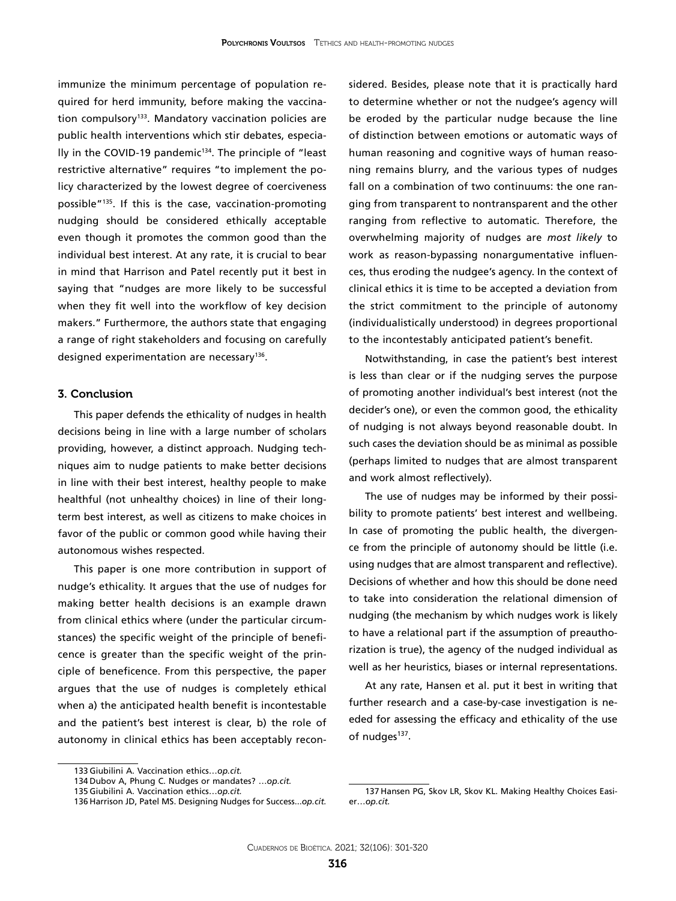immunize the minimum percentage of population required for herd immunity, before making the vaccination compulsory<sup>133</sup>. Mandatory vaccination policies are public health interventions which stir debates, especially in the COVID-19 pandemic<sup>134</sup>. The principle of "least restrictive alternative" requires "to implement the policy characterized by the lowest degree of coerciveness possible"135. If this is the case, vaccination-promoting nudging should be considered ethically acceptable even though it promotes the common good than the individual best interest. At any rate, it is crucial to bear in mind that Harrison and Patel recently put it best in saying that "nudges are more likely to be successful when they fit well into the workflow of key decision makers." Furthermore, the authors state that engaging a range of right stakeholders and focusing on carefully designed experimentation are necessary<sup>136</sup>.

#### 3. Conclusion

This paper defends the ethicality of nudges in health decisions being in line with a large number of scholars providing, however, a distinct approach. Nudging techniques aim to nudge patients to make better decisions in line with their best interest, healthy people to make healthful (not unhealthy choices) in line of their longterm best interest, as well as citizens to make choices in favor of the public or common good while having their autonomous wishes respected.

This paper is one more contribution in support of nudge's ethicality. It argues that the use of nudges for making better health decisions is an example drawn from clinical ethics where (under the particular circumstances) the specific weight of the principle of beneficence is greater than the specific weight of the principle of beneficence. From this perspective, the paper argues that the use of nudges is completely ethical when a) the anticipated health benefit is incontestable and the patient's best interest is clear, b) the role of autonomy in clinical ethics has been acceptably reconsidered. Besides, please note that it is practically hard to determine whether or not the nudgee's agency will be eroded by the particular nudge because the line of distinction between emotions or automatic ways of human reasoning and cognitive ways of human reasoning remains blurry, and the various types of nudges fall on a combination of two continuums: the one ranging from transparent to nontransparent and the other ranging from reflective to automatic. Therefore, the overwhelming majority of nudges are *most likely* to work as reason-bypassing nonargumentative influences, thus eroding the nudgee's agency. In the context of clinical ethics it is time to be accepted a deviation from the strict commitment to the principle of autonomy (individualistically understood) in degrees proportional to the incontestably anticipated patient's benefit.

Notwithstanding, in case the patient's best interest is less than clear or if the nudging serves the purpose of promoting another individual's best interest (not the decider's one), or even the common good, the ethicality of nudging is not always beyond reasonable doubt. In such cases the deviation should be as minimal as possible (perhaps limited to nudges that are almost transparent and work almost reflectively).

The use of nudges may be informed by their possibility to promote patients' best interest and wellbeing. In case of promoting the public health, the divergence from the principle of autonomy should be little (i.e. using nudges that are almost transparent and reflective). Decisions of whether and how this should be done need to take into consideration the relational dimension of nudging (the mechanism by which nudges work is likely to have a relational part if the assumption of preauthorization is true), the agency of the nudged individual as well as her heuristics, biases or internal representations.

At any rate, Hansen et al. put it best in writing that further research and a case-by-case investigation is needed for assessing the efficacy and ethicality of the use of nudges<sup>137</sup>.

<sup>133</sup> Giubilini A. Vaccination ethics…*op.cit.*

<sup>134</sup> Dubov A, Phung C. Nudges or mandates? …*op.cit.*

<sup>135</sup> Giubilini A. Vaccination ethics…*op.cit.*

<sup>136</sup> Harrison JD, Patel MS. Designing Nudges for Success...*op.cit.*

<sup>137</sup> Hansen PG, Skov LR, Skov KL. Making Healthy Choices Easier…*op.cit.*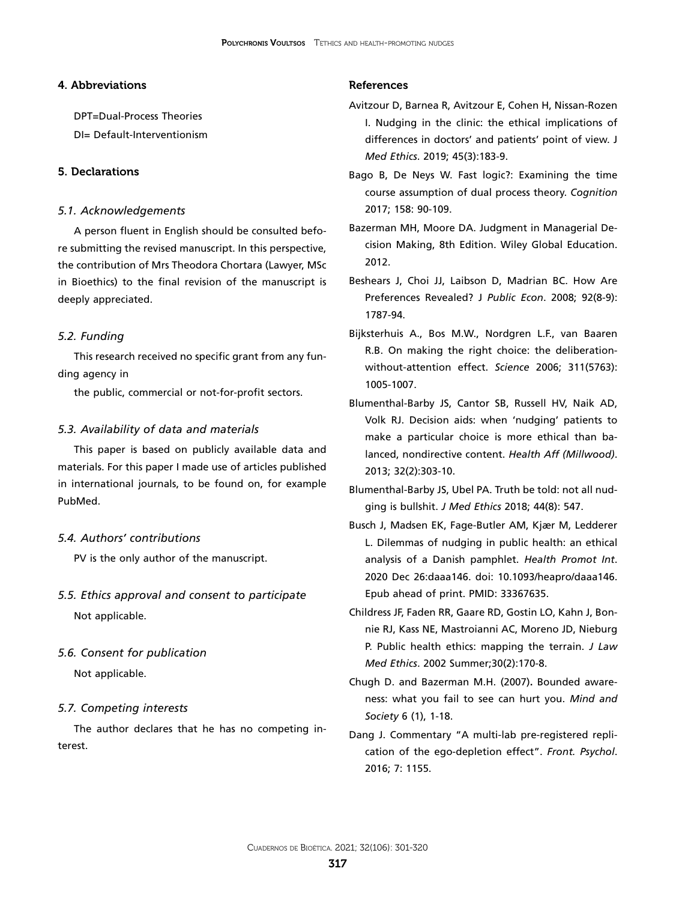### 4. Abbreviations

DPT=Dual-Process Theories

## DI= Default-Interventionism

### 5. Declarations

### *5.1. Acknowledgements*

A person fluent in English should be consulted before submitting the revised manuscript. In this perspective, the contribution of Mrs Theodora Chortara (Lawyer, MSc in Bioethics) to the final revision of the manuscript is deeply appreciated.

#### *5.2. Funding*

This research received no specific grant from any funding agency in

the public, commercial or not-for-profit sectors.

#### *5.3. Availability of data and materials*

This paper is based on publicly available data and materials. For this paper I made use of articles published in international journals, to be found on, for example PubMed.

#### *5.4. Authors' contributions*

PV is the only author of the manuscript.

*5.5. Ethics approval and consent to participate* Not applicable.

### *5.6. Consent for publication*

Not applicable.

#### *5.7. Competing interests*

The author declares that he has no competing interest.

#### References

- Avitzour D, Barnea R, Avitzour E, Cohen H, Nissan-Rozen I. [Nudging in the clinic: the ethical implications of](https://www.ncbi.nlm.nih.gov/pubmed/30361259) [differences in doctors' and patients' point of view.](https://www.ncbi.nlm.nih.gov/pubmed/30361259) J *Med Ethics*. 2019; 45(3):183-9.
- [Bago B,](https://www.ncbi.nlm.nih.gov/pubmed/?term=Bago B%5BAuthor%5D&cauthor=true&cauthor_uid=27816844) [De Neys W](https://www.ncbi.nlm.nih.gov/pubmed/?term=De Neys W%5BAuthor%5D&cauthor=true&cauthor_uid=27816844). Fast logic?: Examining the time course assumption of dual process theory. *[Cognition](https://www.ncbi.nlm.nih.gov/pubmed/?term=bago+automatic+reasoning)* 2017; 158: 90-109.
- [Bazerman](https://www.wiley.com/en-us/search?pq=%7Crelevance%7Cauthor%3AMax+H.+Bazerman) MH, [Moore](https://www.wiley.com/en-us/search?pq=%7Crelevance%7Cauthor%3ADon+A.+Moore) DA. Judgment in Managerial Decision Making, 8th Edition. Wiley Global Education. 2012.
- [Beshears J](https://www.ncbi.nlm.nih.gov/pubmed/?term=Beshears J%5BAuthor%5D&cauthor=true&cauthor_uid=24761048), [Choi JJ,](https://www.ncbi.nlm.nih.gov/pubmed/?term=Choi JJ%5BAuthor%5D&cauthor=true&cauthor_uid=24761048) [Laibson D,](https://www.ncbi.nlm.nih.gov/pubmed/?term=Laibson D%5BAuthor%5D&cauthor=true&cauthor_uid=24761048) [Madrian BC](https://www.ncbi.nlm.nih.gov/pubmed/?term=Madrian BC%5BAuthor%5D&cauthor=true&cauthor_uid=24761048). How Are Preferences Revealed? J *[Public Econ](https://www.ncbi.nlm.nih.gov/pubmed/?term=Beshears%2C+Choi%2C+Laisbon+and+Madrian+2008)*. 2008; 92(8-9): 1787-94.
- Bijksterhuis A., Bos M.W., Nordgren L.F., van Baaren R.B. On making the right choice: the deliberationwithout-attention effect. *Science* 2006; 311(5763): 1005-1007.
- [Blumenthal-Barby JS,](https://www.ncbi.nlm.nih.gov/pubmed/?term=Blumenthal-Barby JS%5BAuthor%5D&cauthor=true&cauthor_uid=23381523) [Cantor SB](https://www.ncbi.nlm.nih.gov/pubmed/?term=Cantor SB%5BAuthor%5D&cauthor=true&cauthor_uid=23381523), [Russell HV,](https://www.ncbi.nlm.nih.gov/pubmed/?term=Russell HV%5BAuthor%5D&cauthor=true&cauthor_uid=23381523) [Naik AD,](https://www.ncbi.nlm.nih.gov/pubmed/?term=Naik AD%5BAuthor%5D&cauthor=true&cauthor_uid=23381523) [Volk RJ.](https://www.ncbi.nlm.nih.gov/pubmed/?term=Volk RJ%5BAuthor%5D&cauthor=true&cauthor_uid=23381523) Decision aids: when 'nudging' patients to make a particular choice is more ethical than balanced, nondirective content. *[Health Aff \(Millwood\)](https://www.ncbi.nlm.nih.gov/pubmed/23381523)*. 2013; 32(2):303-10.
- Blumenthal-Barby JS, Ubel PA. Truth be told: not all nudging is bullshit. *J Med Ethics* 2018; 44(8): 547.
- Busch J, Madsen EK, Fage-Butler AM, Kjær M, Ledderer L. Dilemmas of nudging in public health: an ethical analysis of a Danish pamphlet. *Health Promot Int*. 2020 Dec 26:daaa146. doi: 10.1093/heapro/daaa146. Epub ahead of print. PMID: 33367635.
- Childress JF, Faden RR, Gaare RD, Gostin LO, Kahn J, Bonnie RJ, Kass NE, Mastroianni AC, Moreno JD, Nieburg P. Public health ethics: mapping the terrain. *J Law Med Ethics*. 2002 Summer;30(2):170-8.
- [Chugh](https://philpapers.org/s/Dolly Chugh) D. and Bazerman M.H. (2007)**.** [Bounded aware](https://philpapers.org/go.pl?id=DOLBAW&proxyId=&u=http%3A%2F%2Fdx.doi.org%2F10.1007%2Fs11299-006-0020-4)[ness: what you fail to see can hurt you.](https://philpapers.org/go.pl?id=DOLBAW&proxyId=&u=http%3A%2F%2Fdx.doi.org%2F10.1007%2Fs11299-006-0020-4) *[Mind and](https://philpapers.org/asearch.pl?pub=685) [Society](https://philpapers.org/asearch.pl?pub=685)* 6 (1), 1-18.
- Dang J. Commentary "A multi-lab pre-registered replication of the ego-depletion effect". *Front. Psychol*. 2016; 7: 1155.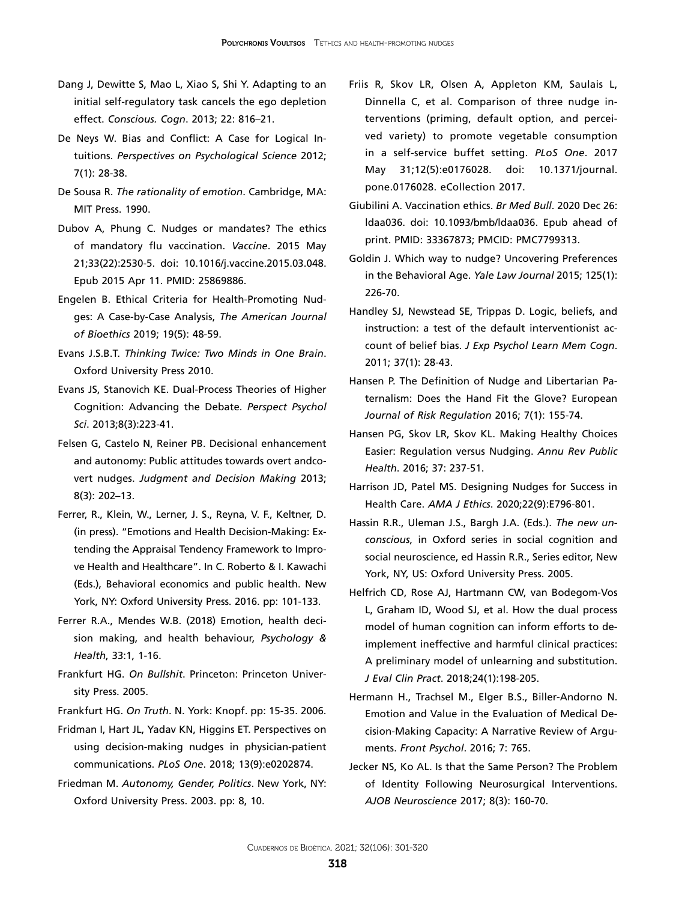- Dang J, Dewitte S, Mao L, Xiao S, Shi Y. Adapting to an initial self-regulatory task cancels the ego depletion effect. *Conscious. Cogn*. 2013; 22: 816–21.
- De Neys W. Bias and Conflict: A Case for Logical Intuitions. *[Perspectives on Psychological Science](https://journals.sagepub.com/home/pps)* 2012; 7(1): 28-38.
- De Sousa R. *The rationality of emotion*. Cambridge, MA: MIT Press. 1990.
- Dubov A, Phung C. Nudges or mandates? The ethics of mandatory flu vaccination. *Vaccine*. 2015 May 21;33(22):2530-5. doi: 10.1016/j.vaccine.2015.03.048. Epub 2015 Apr 11. PMID: 25869886.
- Engelen B. Ethical Criteria for Health-Promoting Nudges: A Case-by-Case Analysis, *The American Journal of Bioethics* 2019; 19(5): 48-59.
- Evans J.S.B.T. *Thinking Twice: Two Minds in One Brain*. Oxford University Press 2010.
- Evans JS, Stanovich KE. [Dual-Process Theories of Higher](https://www.ncbi.nlm.nih.gov/pubmed/26172965)  [Cognition: Advancing the Debate.](https://www.ncbi.nlm.nih.gov/pubmed/26172965) *Perspect Psychol Sci*. 2013;8(3):223-41.
- Felsen G, Castelo N, Reiner PB. Decisional enhancement and autonomy: Public attitudes towards overt andcovert nudges. *Judgment and Decision Making* 2013; 8(3): 202–13.
- Ferrer, R., Klein, W., Lerner, J. S., Reyna, V. F., Keltner, D. (in press). "Emotions and Health Decision-Making: Extending the Appraisal Tendency Framework to Improve Health and Healthcare". In C. Roberto & I. Kawachi (Eds.), Behavioral economics and public health. New York, NY: Oxford University Press. 2016. pp: 101-133.
- Ferrer R.A., Mendes W.B. (2018) Emotion, health decision making, and health behaviour, *Psychology & Health*, 33:1, 1-16.
- Frankfurt HG. *On Bullshit*. Princeton: Princeton University Press. 2005.
- Frankfurt HG. *On Truth*. N. York: Knopf. pp: 15-35. 2006.
- [Fridman I,](https://www.ncbi.nlm.nih.gov/pubmed/?term=Fridman I%5BAuthor%5D&cauthor=true&cauthor_uid=30231040) [Hart JL,](https://www.ncbi.nlm.nih.gov/pubmed/?term=Hart JL%5BAuthor%5D&cauthor=true&cauthor_uid=30231040) [Yadav KN](https://www.ncbi.nlm.nih.gov/pubmed/?term=Yadav KN%5BAuthor%5D&cauthor=true&cauthor_uid=30231040), [Higgins ET.](https://www.ncbi.nlm.nih.gov/pubmed/?term=Higgins ET%5BAuthor%5D&cauthor=true&cauthor_uid=30231040) Perspectives on using decision-making nudges in physician-patient communications. *[PLoS One](https://www.ncbi.nlm.nih.gov/pubmed/?term=fridman+nudge)*. 2018; 13(9):e0202874.
- Friedman M. *Autonomy, Gender, Politics*. New York, NY: Oxford University Press. 2003. pp: 8, 10.
- [Friis R,](https://www.ncbi.nlm.nih.gov/pubmed/?term=Friis R%5BAuthor%5D&cauthor=true&cauthor_uid=28562678) [Skov LR](https://www.ncbi.nlm.nih.gov/pubmed/?term=Skov LR%5BAuthor%5D&cauthor=true&cauthor_uid=28562678), [Olsen A,](https://www.ncbi.nlm.nih.gov/pubmed/?term=Olsen A%5BAuthor%5D&cauthor=true&cauthor_uid=28562678) [Appleton KM,](https://www.ncbi.nlm.nih.gov/pubmed/?term=Appleton KM%5BAuthor%5D&cauthor=true&cauthor_uid=28562678) [Saulais L,](https://www.ncbi.nlm.nih.gov/pubmed/?term=Saulais L%5BAuthor%5D&cauthor=true&cauthor_uid=28562678) [Dinnella C,](https://www.ncbi.nlm.nih.gov/pubmed/?term=Dinnella C%5BAuthor%5D&cauthor=true&cauthor_uid=28562678) et al. Comparison of three nudge interventions (priming, default option, and perceived variety) to promote vegetable consumption in a self-service buffet setting. *[PLoS One](https://www.ncbi.nlm.nih.gov/pubmed/28562678)*. 2017 May 31;12(5):e0176028. doi: 10.1371/journal. pone.0176028. eCollection 2017.
- Giubilini A. Vaccination ethics. *Br Med Bull*. 2020 Dec 26: ldaa036. doi: 10.1093/bmb/ldaa036. Epub ahead of print. PMID: 33367873; PMCID: PMC7799313.
- Goldin J. Which way to nudge? Uncovering Preferences in the Behavioral Age. *Yale Law Journal* 2015; 125(1): 226-70.
- Handley SJ, Newstead SE, Trippas D. [Logic, beliefs, and](https://www.ncbi.nlm.nih.gov/pubmed/21058879) [instruction: a test of the default interventionist ac](https://www.ncbi.nlm.nih.gov/pubmed/21058879)[count of belief bias.](https://www.ncbi.nlm.nih.gov/pubmed/21058879) *J Exp Psychol Learn Mem Cogn*. 2011; 37(1): 28-43.
- Hansen P. The Definition of Nudge and Libertarian Paternalism: Does the Hand Fit the Glove? European *Journal of Risk Regulation* 2016; 7(1): 155-74.
- Hansen PG, Skov LR, Skov KL. [Making Healthy Choices](https://www.ncbi.nlm.nih.gov/pubmed/26735430) [Easier: Regulation versus Nudging.](https://www.ncbi.nlm.nih.gov/pubmed/26735430) *Annu Rev Public Health*. 2016; 37: 237-51.
- Harrison JD, Patel MS. Designing Nudges for Success in Health Care. *AMA J Ethics*. 2020;22(9):E796-801.
- Hassin R.R., Uleman J.S., Bargh J.A. (Eds.). *The new unconscious*, in Oxford series in social cognition and social neuroscience, ed Hassin R.R., Series editor, New York, NY, US: Oxford University Press. 2005.
- Helfrich CD, Rose AJ, Hartmann CW, van Bodegom-Vos L, Graham ID, Wood SJ, et al. How the dual process model of human cognition can inform efforts to deimplement ineffective and harmful clinical practices: A preliminary model of unlearning and substitution. *J Eval Clin Pract*. 2018;24(1):198-205.
- Hermann H., Trachsel M., Elger B.S., Biller-Andorno N. Emotion and Value in the Evaluation of Medical Decision-Making Capacity: A Narrative Review of Arguments. *Front Psychol*. 2016; 7: 765.
- Jecker NS, Ko AL. Is that the Same Person? The Problem of Identity Following Neurosurgical Interventions. *AJOB Neuroscience* 2017; 8(3): 160-70.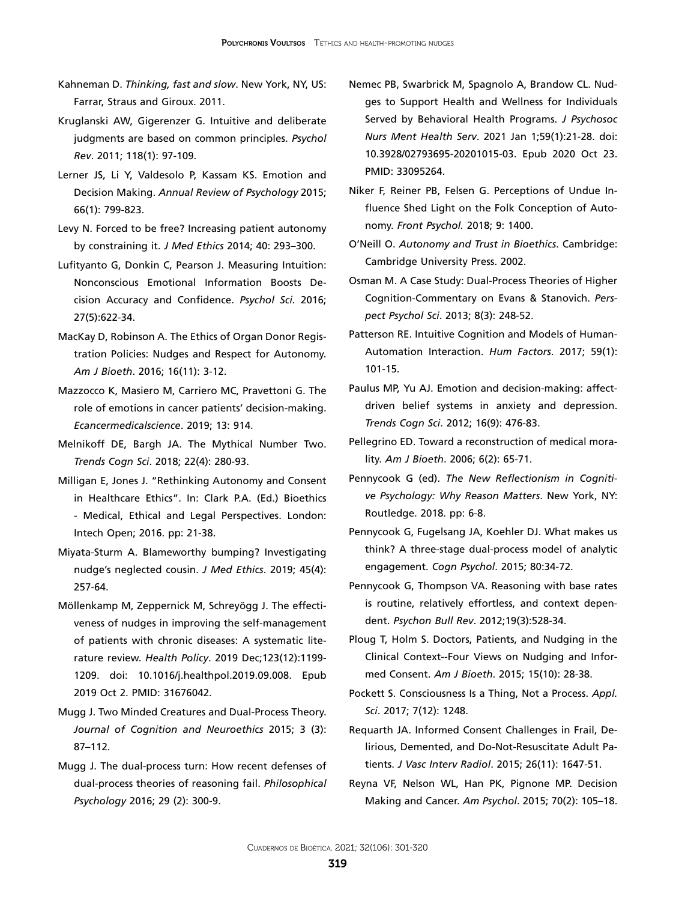- Kahneman D. *Thinking, fast and slow*. New York, NY, US: Farrar, Straus and Giroux. 2011.
- [Kruglanski AW,](https://www.ncbi.nlm.nih.gov/pubmed/?term=Kruglanski AW%5BAuthor%5D&cauthor=true&cauthor_uid=21244188) [Gigerenzer G.](https://www.ncbi.nlm.nih.gov/pubmed/?term=Gigerenzer G%5BAuthor%5D&cauthor=true&cauthor_uid=21244188) Intuitive and deliberate judgments are based on common principles. *[Psychol](https://www.ncbi.nlm.nih.gov/pubmed/21244188)  [Rev](https://www.ncbi.nlm.nih.gov/pubmed/21244188)*. 2011; 118(1): 97-109.
- Lerner JS, Li Y, Valdesolo P, Kassam KS. [Emotion and](https://www.annualreviews.org/doi/abs/10.1146/annurev-psych-010213-115043)  [Decision Making.](https://www.annualreviews.org/doi/abs/10.1146/annurev-psych-010213-115043) *Annual Review of Psychology* 2015; 66(1): 799-823.
- Levy N. Forced to be free? Increasing patient autonomy by constraining it. *J Med Ethics* 2014; 40: 293–300.
- [Lufityanto G](https://www.ncbi.nlm.nih.gov/pubmed/?term=Lufityanto G%5BAuthor%5D&cauthor=true&cauthor_uid=27052557), [Donkin C](https://www.ncbi.nlm.nih.gov/pubmed/?term=Donkin C%5BAuthor%5D&cauthor=true&cauthor_uid=27052557), [Pearson J](https://www.ncbi.nlm.nih.gov/pubmed/?term=Pearson J%5BAuthor%5D&cauthor=true&cauthor_uid=27052557). Measuring Intuition: Nonconscious Emotional Information Boosts Decision Accuracy and Confidence. *[Psychol Sci.](https://www.ncbi.nlm.nih.gov/pubmed/27052557)* 2016; 27(5):622-34.
- MacKay D, Robinson A. The Ethics of Organ Donor Registration Policies: Nudges and Respect for Autonomy. *Am J Bioeth*. 2016; 16(11): 3-12.
- Mazzocco K, Masiero M, Carriero MC, Pravettoni G. [The](https://www.ncbi.nlm.nih.gov/pubmed/31123497)  [role of emotions in cancer patients' decision-making.](https://www.ncbi.nlm.nih.gov/pubmed/31123497) *Ecancermedicalscience*. 2019; 13: 914.
- Melnikoff DE, Bargh JA. [The Mythical Number Two.](https://www.ncbi.nlm.nih.gov/pubmed/29571664) *Trends Cogn Sci*. 2018; 22(4): 280-93.
- Milligan E, Jones J. "Rethinking Autonomy and Consent in Healthcare Ethics". In: Clark P.A. (Ed.) Bioethics - Medical, Ethical and Legal Perspectives. London: Intech Open; 2016. pp: 21-38.
- [Miyata-Sturm A.](https://www.ncbi.nlm.nih.gov/pubmed/?term=Miyata-Sturm A%5BAuthor%5D&cauthor=true&cauthor_uid=30630970) Blameworthy bumping? Investigating nudge's neglected cousin. *[J Med Ethics](https://www.ncbi.nlm.nih.gov/pubmed/?term=miyata+sturm)*. 2019; 45(4): 257-64.
- Möllenkamp M, Zeppernick M, Schreyögg J. The effectiveness of nudges in improving the self-management of patients with chronic diseases: A systematic literature review. *Health Policy*. 2019 Dec;123(12):1199- 1209. doi: 10.1016/j.healthpol.2019.09.008. Epub 2019 Oct 2. PMID: 31676042.
- Mugg J. Two Minded Creatures and Dual-Process Theory. *Journal of Cognition and Neuroethics* 2015; 3 (3): 87–112.
- Mugg J. The dual-process turn: How recent defenses of dual-process theories of reasoning fail. *Philosophical Psychology* 2016; 29 (2): 300-9.
- Nemec PB, Swarbrick M, Spagnolo A, Brandow CL. Nudges to Support Health and Wellness for Individuals Served by Behavioral Health Programs. *J Psychosoc Nurs Ment Health Serv*. 2021 Jan 1;59(1):21-28. doi: 10.3928/02793695-20201015-03. Epub 2020 Oct 23. PMID: 33095264.
- [Niker F](https://www.ncbi.nlm.nih.gov/pubmed/?term=Niker F%5BAuthor%5D&cauthor=true&cauthor_uid=30135670), [Reiner PB,](https://www.ncbi.nlm.nih.gov/pubmed/?term=Reiner PB%5BAuthor%5D&cauthor=true&cauthor_uid=30135670) [Felsen G.](https://www.ncbi.nlm.nih.gov/pubmed/?term=Felsen G%5BAuthor%5D&cauthor=true&cauthor_uid=30135670) Perceptions of Undue Influence Shed Light on the Folk Conception of Autonomy. *[Front Psychol.](https://www.ncbi.nlm.nih.gov/pubmed/?term=niker+2018)* 2018; 9: 1400.
- O'Neill O. *Autonomy and Trust in Bioethics*. Cambridge: Cambridge University Press. 2002.
- [Osman M.](https://www.ncbi.nlm.nih.gov/pubmed/?term=Osman M%5BAuthor%5D&cauthor=true&cauthor_uid=26172967) A Case Study: Dual-Process Theories of Higher Cognition-Commentary on Evans & Stanovich. *[Pers](https://www.ncbi.nlm.nih.gov/pubmed/?term=osman+2013+stanovich)[pect Psychol Sci](https://www.ncbi.nlm.nih.gov/pubmed/?term=osman+2013+stanovich)*. 2013; 8(3): 248-52.
- [Patterson RE.](https://www.ncbi.nlm.nih.gov/pubmed/?term=Patterson RE%5BAuthor%5D&cauthor=true&cauthor_uid=28146682) Intuitive Cognition and Models of Human-Automation Interaction. *[Hum Factors](https://www.ncbi.nlm.nih.gov/pubmed/?term=patterson+2017+intuitive+cognition)*. 2017; 59(1): 101-15.
- [Paulus MP,](https://www.ncbi.nlm.nih.gov/pubmed/?term=Paulus MP%5BAuthor%5D&cauthor=true&cauthor_uid=22898207) [Yu AJ](https://www.ncbi.nlm.nih.gov/pubmed/?term=Yu AJ%5BAuthor%5D&cauthor=true&cauthor_uid=22898207). Emotion and decision-making: affectdriven belief systems in anxiety and depression. *[Trends Cogn Sci](https://www.ncbi.nlm.nih.gov/pubmed/22898207)*. 2012; 16(9): 476-83.
- Pellegrino ED. Toward a reconstruction of medical morality. *Am J Bioeth*. 2006; 6(2): 65-71.
- Pennycook G (ed). *The New Reflectionism in Cognitive Psychology: Why Reason Matters*. New York, NY: Routledge. 2018. pp: 6-8.
- [Pennycook G](https://www.ncbi.nlm.nih.gov/pubmed/?term=Pennycook G%5BAuthor%5D&cauthor=true&cauthor_uid=26091582), [Fugelsang JA](https://www.ncbi.nlm.nih.gov/pubmed/?term=Fugelsang JA%5BAuthor%5D&cauthor=true&cauthor_uid=26091582), [Koehler DJ.](https://www.ncbi.nlm.nih.gov/pubmed/?term=Koehler DJ%5BAuthor%5D&cauthor=true&cauthor_uid=26091582) What makes us think? A three-stage dual-process model of analytic engagement. *[Cogn Psychol](https://www.ncbi.nlm.nih.gov/pubmed/26091582)*. 2015; 80:34-72.
- Pennycook G, Thompson VA. [Reasoning with base rates](https://www.ncbi.nlm.nih.gov/pubmed/22427266) [is routine, relatively effortless, and context depen](https://www.ncbi.nlm.nih.gov/pubmed/22427266)[dent.](https://www.ncbi.nlm.nih.gov/pubmed/22427266) *Psychon Bull Rev*. 2012;19(3):528-34.
- Ploug T, Holm S. Doctors, Patients, and Nudging in the Clinical Context--Four Views on Nudging and Informed Consent. *Am J Bioeth*. 2015; 15(10): 28-38.
- Pockett S. Consciousness Is a Thing, Not a Process. *Appl. Sci*. 2017; 7(12): 1248.
- [Requarth JA.](https://www.ncbi.nlm.nih.gov/pubmed/?term=Requarth JA%5BAuthor%5D&cauthor=true&cauthor_uid=26371998) Informed Consent Challenges in Frail, Delirious, Demented, and Do-Not-Resuscitate Adult Patients. *[J Vasc Interv Radiol](https://www.ncbi.nlm.nih.gov/pubmed/?term=requarth+informed+consent)*. 2015; 26(11): 1647-51.
- [Reyna](https://www.ncbi.nlm.nih.gov/pubmed/?term=Reyna VF%5BAuthor%5D&cauthor=true&cauthor_uid=25730718) VF, [Nelson](https://www.ncbi.nlm.nih.gov/pubmed/?term=Nelson WL%5BAuthor%5D&cauthor=true&cauthor_uid=25730718) WL, [Han](https://www.ncbi.nlm.nih.gov/pubmed/?term=Han PK%5BAuthor%5D&cauthor=true&cauthor_uid=25730718) PK, [Pignone](https://www.ncbi.nlm.nih.gov/pubmed/?term=Pignone MP%5BAuthor%5D&cauthor=true&cauthor_uid=25730718) MP. Decision Making and Cancer. *Am Psychol*[. 2015; 70\(2\): 105–18.](https://www.ncbi.nlm.nih.gov/entrez/eutils/elink.fcgi?dbfrom=pubmed&retmode=ref&cmd=prlinks&id=25730718)